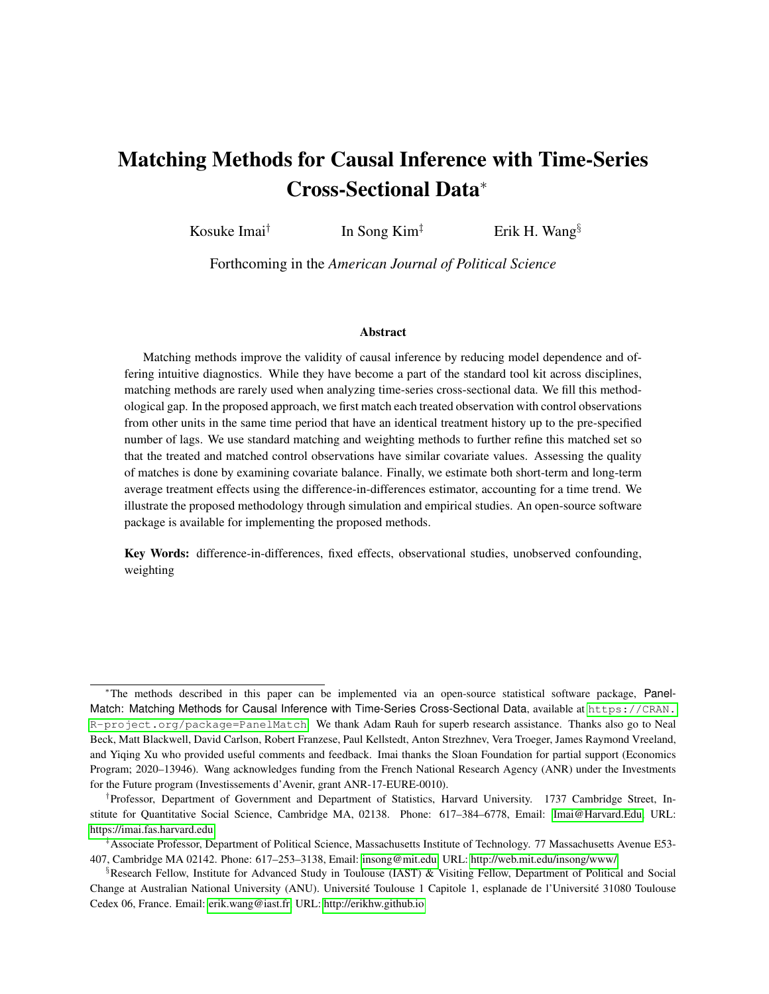# <span id="page-0-0"></span>Matching Methods for Causal Inference with Time-Series Cross-Sectional Data<sup>∗</sup>

Kosuke Imai† In Song Kim<sup> $\ddagger$ </sup> Erik H. Wang<sup>§</sup>

Forthcoming in the *American Journal of Political Science*

#### Abstract

Matching methods improve the validity of causal inference by reducing model dependence and offering intuitive diagnostics. While they have become a part of the standard tool kit across disciplines, matching methods are rarely used when analyzing time-series cross-sectional data. We fill this methodological gap. In the proposed approach, we first match each treated observation with control observations from other units in the same time period that have an identical treatment history up to the pre-specified number of lags. We use standard matching and weighting methods to further refine this matched set so that the treated and matched control observations have similar covariate values. Assessing the quality of matches is done by examining covariate balance. Finally, we estimate both short-term and long-term average treatment effects using the difference-in-differences estimator, accounting for a time trend. We illustrate the proposed methodology through simulation and empirical studies. An open-source software package is available for implementing the proposed methods.

Key Words: difference-in-differences, fixed effects, observational studies, unobserved confounding, weighting

<sup>∗</sup>The methods described in this paper can be implemented via an open-source statistical software package, PanelMatch: Matching Methods for Causal Inference with Time-Series Cross-Sectional Data, available at [https://CRAN.](https://CRAN.R-project.org/package=PanelMatch) [R-project.org/package=PanelMatch](https://CRAN.R-project.org/package=PanelMatch). We thank Adam Rauh for superb research assistance. Thanks also go to Neal Beck, Matt Blackwell, David Carlson, Robert Franzese, Paul Kellstedt, Anton Strezhnev, Vera Troeger, James Raymond Vreeland, and Yiqing Xu who provided useful comments and feedback. Imai thanks the Sloan Foundation for partial support (Economics Program; 2020–13946). Wang acknowledges funding from the French National Research Agency (ANR) under the Investments for the Future program (Investissements d'Avenir, grant ANR-17-EURE-0010).

<sup>†</sup> Professor, Department of Government and Department of Statistics, Harvard University. 1737 Cambridge Street, In-stitute for Quantitative Social Science, Cambridge MA, 02138. Phone: 617-384-6778, Email: [Imai@Harvard.Edu,](mailto:Imai@Harvard.Edu) URL: <https://imai.fas.harvard.edu>

<sup>‡</sup>Associate Professor, Department of Political Science, Massachusetts Institute of Technology. 77 Massachusetts Avenue E53- 407, Cambridge MA 02142. Phone: 617–253–3138, Email: [insong@mit.edu,](mailto:insong@mit.edu) URL:<http://web.mit.edu/insong/www/>

<sup>§</sup>Research Fellow, Institute for Advanced Study in Toulouse (IAST) & Visiting Fellow, Department of Political and Social Change at Australian National University (ANU). Université Toulouse 1 Capitole 1, esplanade de l'Université 31080 Toulouse Cedex 06, France. Email: [erik.wang@iast.fr,](erik.wang@iast.fr) URL:<http://erikhw.github.io>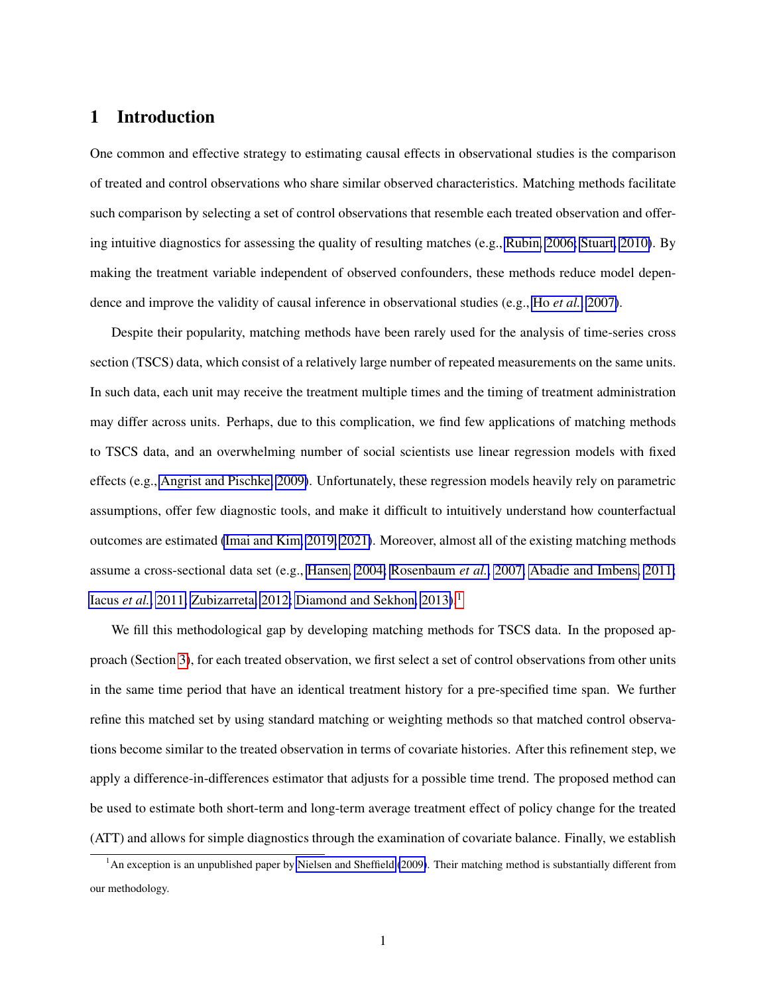## 1 Introduction

One common and effective strategy to estimating causal effects in observational studies is the comparison of treated and control observations who share similar observed characteristics. Matching methods facilitate such comparison by selecting a set of control observations that resemble each treated observation and offering intuitive diagnostics for assessing the quality of resulting matches (e.g., [Rubin, 2006;](#page-33-0) [Stuart, 2010\)](#page-33-1). By making the treatment variable independent of observed confounders, these methods reduce model dependence and improve the validity of causal inference in observational studies (e.g., Ho *[et al.](#page-31-0)*, [2007\)](#page-31-0).

Despite their popularity, matching methods have been rarely used for the analysis of time-series cross section (TSCS) data, which consist of a relatively large number of repeated measurements on the same units. In such data, each unit may receive the treatment multiple times and the timing of treatment administration may differ across units. Perhaps, due to this complication, we find few applications of matching methods to TSCS data, and an overwhelming number of social scientists use linear regression models with fixed effects (e.g., [Angrist and Pischke, 2009\)](#page-30-0). Unfortunately, these regression models heavily rely on parametric assumptions, offer few diagnostic tools, and make it difficult to intuitively understand how counterfactual outcomes are estimated [\(Imai and Kim, 2019,](#page-32-0) [2021\)](#page-32-1). Moreover, almost all of the existing matching methods assume a cross-sectional data set (e.g., [Hansen, 2004;](#page-31-1) [Rosenbaum](#page-33-2) *et al.*, [2007;](#page-33-2) [Abadie and Imbens, 2011;](#page-30-1) [Iacus](#page-31-2) et al., [2011;](#page-31-2) [Zubizarreta, 2012;](#page-33-3) [Diamond and Sekhon, 2013\)](#page-31-3).<sup>[1](#page-1-0)</sup>

We fill this methodological gap by developing matching methods for TSCS data. In the proposed approach (Section [3\)](#page-9-0), for each treated observation, we first select a set of control observations from other units in the same time period that have an identical treatment history for a pre-specified time span. We further refine this matched set by using standard matching or weighting methods so that matched control observations become similar to the treated observation in terms of covariate histories. After this refinement step, we apply a difference-in-differences estimator that adjusts for a possible time trend. The proposed method can be used to estimate both short-term and long-term average treatment effect of policy change for the treated (ATT) and allows for simple diagnostics through the examination of covariate balance. Finally, we establish

<span id="page-1-0"></span> $1$ An exception is an unpublished paper by [Nielsen and Sheffield](#page-32-2) [\(2009\)](#page-32-2). Their matching method is substantially different from our methodology.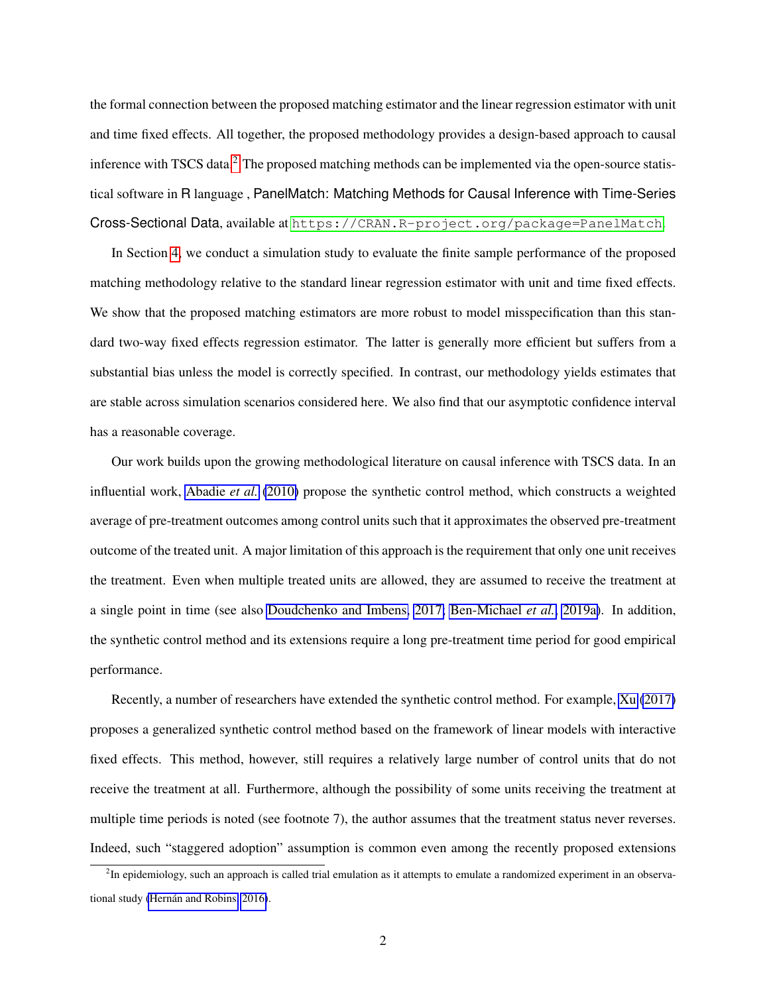the formal connection between the proposed matching estimator and the linear regression estimator with unit and time fixed effects. All together, the proposed methodology provides a design-based approach to causal inference with TSCS data.<sup>[2](#page-2-0)</sup> The proposed matching methods can be implemented via the open-source statistical software in R language , PanelMatch: Matching Methods for Causal Inference with Time-Series Cross-Sectional Data, available at <https://CRAN.R-project.org/package=PanelMatch>.

In Section [4,](#page-21-0) we conduct a simulation study to evaluate the finite sample performance of the proposed matching methodology relative to the standard linear regression estimator with unit and time fixed effects. We show that the proposed matching estimators are more robust to model misspecification than this standard two-way fixed effects regression estimator. The latter is generally more efficient but suffers from a substantial bias unless the model is correctly specified. In contrast, our methodology yields estimates that are stable across simulation scenarios considered here. We also find that our asymptotic confidence interval has a reasonable coverage.

Our work builds upon the growing methodological literature on causal inference with TSCS data. In an influential work, [Abadie](#page-29-0) *et al.* [\(2010\)](#page-29-0) propose the synthetic control method, which constructs a weighted average of pre-treatment outcomes among control units such that it approximates the observed pre-treatment outcome of the treated unit. A major limitation of this approach is the requirement that only one unit receives the treatment. Even when multiple treated units are allowed, they are assumed to receive the treatment at a single point in time (see also [Doudchenko and Imbens, 2017;](#page-31-4) [Ben-Michael](#page-30-2) *et al.*, [2019a\)](#page-30-2). In addition, the synthetic control method and its extensions require a long pre-treatment time period for good empirical performance.

Recently, a number of researchers have extended the synthetic control method. For example, [Xu](#page-33-4) [\(2017\)](#page-33-4) proposes a generalized synthetic control method based on the framework of linear models with interactive fixed effects. This method, however, still requires a relatively large number of control units that do not receive the treatment at all. Furthermore, although the possibility of some units receiving the treatment at multiple time periods is noted (see footnote 7), the author assumes that the treatment status never reverses. Indeed, such "staggered adoption" assumption is common even among the recently proposed extensions

<span id="page-2-0"></span><sup>&</sup>lt;sup>2</sup>In epidemiology, such an approach is called trial emulation as it attempts to emulate a randomized experiment in an observational study (Hernán and Robins, 2016).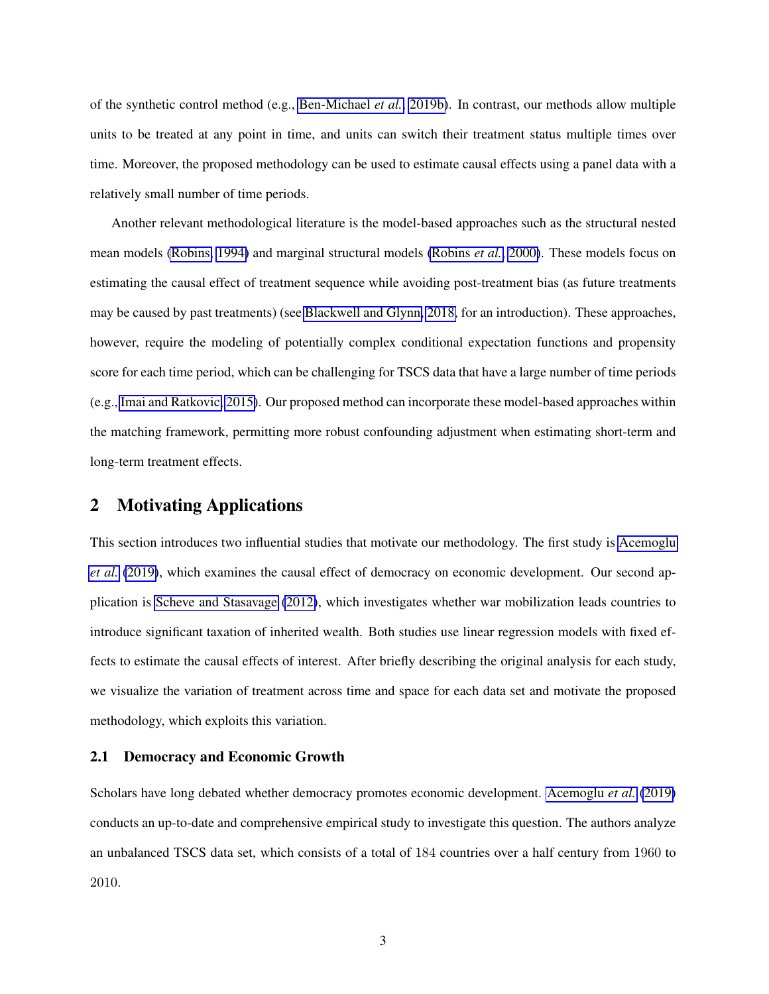of the synthetic control method (e.g., [Ben-Michael](#page-30-3) *et al.*, [2019b\)](#page-30-3). In contrast, our methods allow multiple units to be treated at any point in time, and units can switch their treatment status multiple times over time. Moreover, the proposed methodology can be used to estimate causal effects using a panel data with a relatively small number of time periods.

Another relevant methodological literature is the model-based approaches such as the structural nested mean models [\(Robins, 1994\)](#page-32-3) and marginal structural models [\(Robins](#page-33-5) *et al.*, [2000\)](#page-33-5). These models focus on estimating the causal effect of treatment sequence while avoiding post-treatment bias (as future treatments may be caused by past treatments) (see [Blackwell and Glynn, 2018,](#page-31-6) for an introduction). These approaches, however, require the modeling of potentially complex conditional expectation functions and propensity score for each time period, which can be challenging for TSCS data that have a large number of time periods (e.g., [Imai and Ratkovic, 2015\)](#page-32-4). Our proposed method can incorporate these model-based approaches within the matching framework, permitting more robust confounding adjustment when estimating short-term and long-term treatment effects.

# <span id="page-3-0"></span>2 Motivating Applications

This section introduces two influential studies that motivate our methodology. The first study is [Acemoglu](#page-30-4) *[et al.](#page-30-4)* [\(2019\)](#page-30-4), which examines the causal effect of democracy on economic development. Our second application is [Scheve and Stasavage](#page-33-6) [\(2012\)](#page-33-6), which investigates whether war mobilization leads countries to introduce significant taxation of inherited wealth. Both studies use linear regression models with fixed effects to estimate the causal effects of interest. After briefly describing the original analysis for each study, we visualize the variation of treatment across time and space for each data set and motivate the proposed methodology, which exploits this variation.

#### 2.1 Democracy and Economic Growth

Scholars have long debated whether democracy promotes economic development. [Acemoglu](#page-30-4) *et al.* [\(2019\)](#page-30-4) conducts an up-to-date and comprehensive empirical study to investigate this question. The authors analyze an unbalanced TSCS data set, which consists of a total of 184 countries over a half century from 1960 to 2010.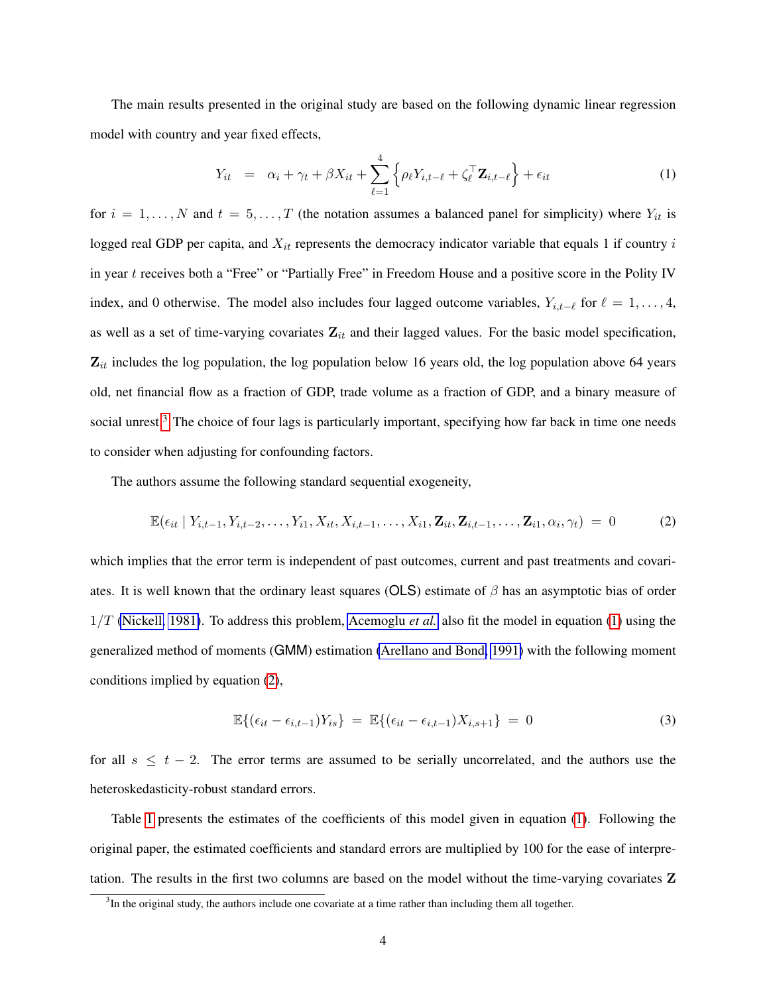The main results presented in the original study are based on the following dynamic linear regression model with country and year fixed effects,

<span id="page-4-1"></span>
$$
Y_{it} = \alpha_i + \gamma_t + \beta X_{it} + \sum_{\ell=1}^4 \left\{ \rho_\ell Y_{i,t-\ell} + \zeta_{\ell}^\top \mathbf{Z}_{i,t-\ell} \right\} + \epsilon_{it}
$$
 (1)

for  $i = 1, ..., N$  and  $t = 5, ..., T$  (the notation assumes a balanced panel for simplicity) where  $Y_{it}$  is logged real GDP per capita, and  $X_{it}$  represents the democracy indicator variable that equals 1 if country  $i$ in year t receives both a "Free" or "Partially Free" in Freedom House and a positive score in the Polity IV index, and 0 otherwise. The model also includes four lagged outcome variables,  $Y_{i,t-\ell}$  for  $\ell = 1, \ldots, 4$ , as well as a set of time-varying covariates  $Z_{it}$  and their lagged values. For the basic model specification,  $Z_{it}$  includes the log population, the log population below 16 years old, the log population above 64 years old, net financial flow as a fraction of GDP, trade volume as a fraction of GDP, and a binary measure of social unrest.<sup>[3](#page-4-0)</sup> The choice of four lags is particularly important, specifying how far back in time one needs to consider when adjusting for confounding factors.

The authors assume the following standard sequential exogeneity,

<span id="page-4-2"></span>
$$
\mathbb{E}(\epsilon_{it} | Y_{i,t-1}, Y_{i,t-2}, \dots, Y_{i1}, X_{it}, X_{i,t-1}, \dots, X_{i1}, \mathbf{Z}_{it}, \mathbf{Z}_{i,t-1}, \dots, \mathbf{Z}_{i1}, \alpha_i, \gamma_t) = 0
$$
 (2)

which implies that the error term is independent of past outcomes, current and past treatments and covariates. It is well known that the ordinary least squares (OLS) estimate of  $\beta$  has an asymptotic bias of order 1/T [\(Nickell, 1981\)](#page-32-5). To address this problem, [Acemoglu](#page-30-4) *et al.* also fit the model in equation [\(1\)](#page-4-1) using the generalized method of moments (GMM) estimation [\(Arellano and Bond, 1991\)](#page-30-5) with the following moment conditions implied by equation [\(2\)](#page-4-2),

$$
\mathbb{E}\{(\epsilon_{it}-\epsilon_{i,t-1})Y_{is}\} = \mathbb{E}\{(\epsilon_{it}-\epsilon_{i,t-1})X_{i,s+1}\} = 0 \tag{3}
$$

for all  $s \leq t - 2$ . The error terms are assumed to be serially uncorrelated, and the authors use the heteroskedasticity-robust standard errors.

Table [1](#page-5-0) presents the estimates of the coefficients of this model given in equation [\(1\)](#page-4-1). Following the original paper, the estimated coefficients and standard errors are multiplied by 100 for the ease of interpretation. The results in the first two columns are based on the model without the time-varying covariates Z

<span id="page-4-0"></span> $3$ In the original study, the authors include one covariate at a time rather than including them all together.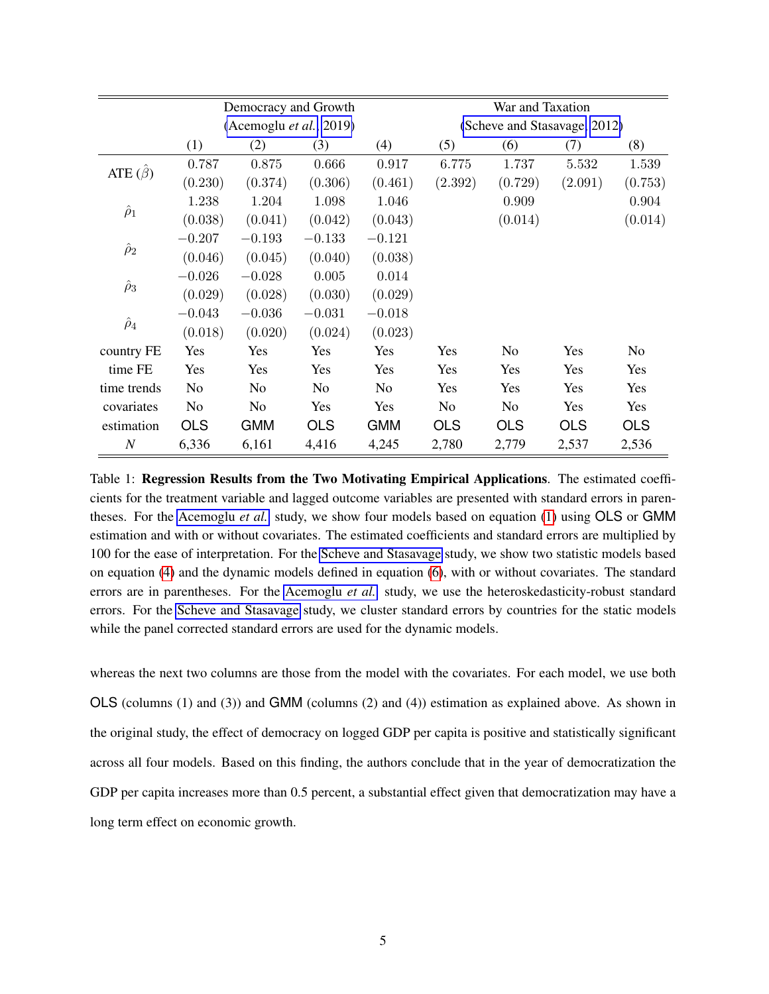<span id="page-5-0"></span>

|                | Democracy and Growth    |            |            |                | War and Taxation             |            |            |                |
|----------------|-------------------------|------------|------------|----------------|------------------------------|------------|------------|----------------|
|                | (Acemoglu et al., 2019) |            |            |                | (Scheve and Stasavage, 2012) |            |            |                |
|                | (1)                     | (2)        | (3)        | (4)            | (5)                          | (6)        | (7)        | (8)            |
| ATE $(\beta)$  | 0.787                   | 0.875      | 0.666      | 0.917          | 6.775                        | 1.737      | 5.532      | 1.539          |
|                | (0.230)                 | (0.374)    | (0.306)    | (0.461)        | (2.392)                      | (0.729)    | (2.091)    | (0.753)        |
| $\hat{\rho}_1$ | 1.238                   | 1.204      | 1.098      | 1.046          |                              | 0.909      |            | 0.904          |
|                | (0.038)                 | (0.041)    | (0.042)    | (0.043)        |                              | (0.014)    |            | (0.014)        |
| $\hat{\rho}_2$ | $-0.207$                | $-0.193$   | $-0.133$   | $-0.121$       |                              |            |            |                |
|                | (0.046)                 | (0.045)    | (0.040)    | (0.038)        |                              |            |            |                |
| $\hat{\rho}_3$ | $-0.026$                | $-0.028$   | 0.005      | 0.014          |                              |            |            |                |
|                | (0.029)                 | (0.028)    | (0.030)    | (0.029)        |                              |            |            |                |
| $\hat{\rho}_4$ | $-0.043$                | $-0.036$   | $-0.031$   | $-0.018$       |                              |            |            |                |
|                | (0.018)                 | (0.020)    | (0.024)    | (0.023)        |                              |            |            |                |
| country FE     | Yes                     | Yes        | Yes        | Yes            | Yes                          | No.        | Yes        | N <sub>0</sub> |
| time FE        | Yes                     | <b>Yes</b> | Yes        | Yes            | Yes                          | Yes        | Yes        | <b>Yes</b>     |
| time trends    | N <sub>0</sub>          | No.        | No.        | N <sub>0</sub> | Yes                          | Yes        | Yes        | Yes            |
| covariates     | N <sub>o</sub>          | No.        | Yes        | Yes            | N <sub>o</sub>               | No.        | Yes        | Yes            |
| estimation     | <b>OLS</b>              | <b>GMM</b> | <b>OLS</b> | <b>GMM</b>     | <b>OLS</b>                   | <b>OLS</b> | <b>OLS</b> | <b>OLS</b>     |
| $\overline{N}$ | 6,336                   | 6,161      | 4,416      | 4,245          | 2,780                        | 2,779      | 2,537      | 2,536          |

Table 1: Regression Results from the Two Motivating Empirical Applications. The estimated coefficients for the treatment variable and lagged outcome variables are presented with standard errors in parentheses. For the [Acemoglu](#page-30-4) *et al.* study, we show four models based on equation [\(1\)](#page-4-1) using OLS or GMM estimation and with or without covariates. The estimated coefficients and standard errors are multiplied by 100 for the ease of interpretation. For the [Scheve and Stasavage](#page-33-6) study, we show two statistic models based on equation [\(4\)](#page-6-0) and the dynamic models defined in equation [\(6\)](#page-7-0), with or without covariates. The standard errors are in parentheses. For the [Acemoglu](#page-30-4) *et al.* study, we use the heteroskedasticity-robust standard errors. For the [Scheve and Stasavage](#page-33-6) study, we cluster standard errors by countries for the static models while the panel corrected standard errors are used for the dynamic models.

whereas the next two columns are those from the model with the covariates. For each model, we use both OLS (columns (1) and (3)) and GMM (columns (2) and (4)) estimation as explained above. As shown in the original study, the effect of democracy on logged GDP per capita is positive and statistically significant across all four models. Based on this finding, the authors conclude that in the year of democratization the GDP per capita increases more than 0.5 percent, a substantial effect given that democratization may have a long term effect on economic growth.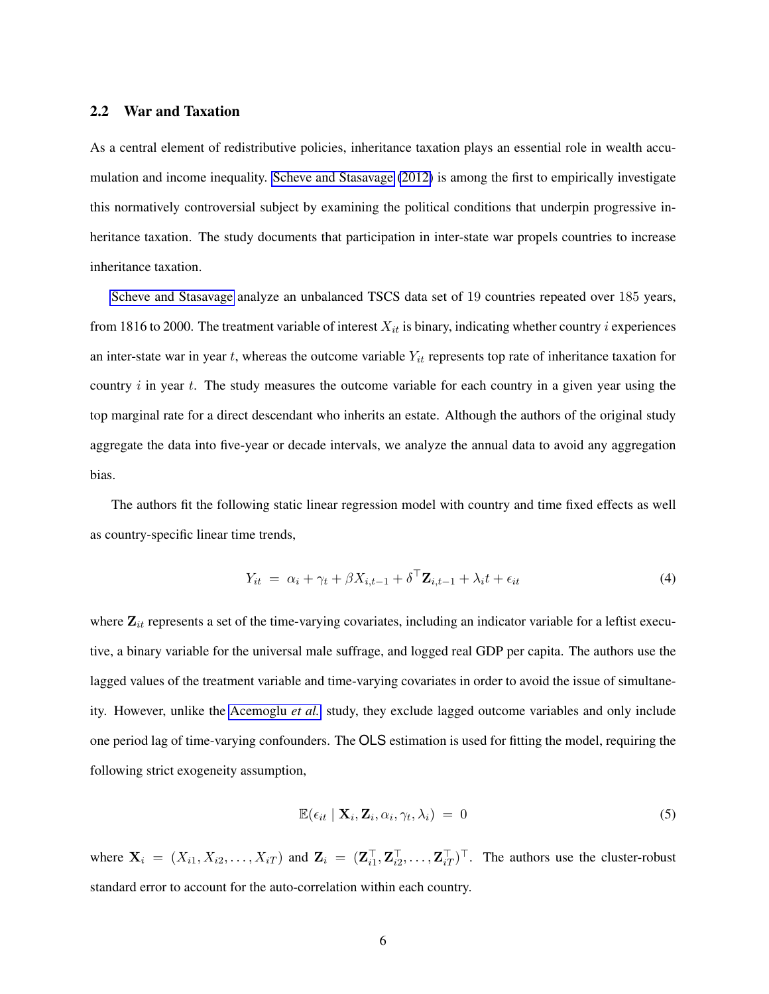#### 2.2 War and Taxation

As a central element of redistributive policies, inheritance taxation plays an essential role in wealth accumulation and income inequality. [Scheve and Stasavage](#page-33-6) [\(2012\)](#page-33-6) is among the first to empirically investigate this normatively controversial subject by examining the political conditions that underpin progressive inheritance taxation. The study documents that participation in inter-state war propels countries to increase inheritance taxation.

[Scheve and Stasavage](#page-33-6) analyze an unbalanced TSCS data set of 19 countries repeated over 185 years, from 1816 to 2000. The treatment variable of interest  $X_{it}$  is binary, indicating whether country *i* experiences an inter-state war in year  $t$ , whereas the outcome variable  $Y_{it}$  represents top rate of inheritance taxation for country  $i$  in year  $t$ . The study measures the outcome variable for each country in a given year using the top marginal rate for a direct descendant who inherits an estate. Although the authors of the original study aggregate the data into five-year or decade intervals, we analyze the annual data to avoid any aggregation bias.

The authors fit the following static linear regression model with country and time fixed effects as well as country-specific linear time trends,

<span id="page-6-0"></span>
$$
Y_{it} = \alpha_i + \gamma_t + \beta X_{i,t-1} + \delta^\top \mathbf{Z}_{i,t-1} + \lambda_i t + \epsilon_{it}
$$
\n<sup>(4)</sup>

where  $\mathbf{Z}_{it}$  represents a set of the time-varying covariates, including an indicator variable for a leftist executive, a binary variable for the universal male suffrage, and logged real GDP per capita. The authors use the lagged values of the treatment variable and time-varying covariates in order to avoid the issue of simultaneity. However, unlike the [Acemoglu](#page-30-4) *et al.* study, they exclude lagged outcome variables and only include one period lag of time-varying confounders. The OLS estimation is used for fitting the model, requiring the following strict exogeneity assumption,

$$
\mathbb{E}(\epsilon_{it} \mid \mathbf{X}_i, \mathbf{Z}_i, \alpha_i, \gamma_t, \lambda_i) = 0 \tag{5}
$$

where  $X_i = (X_{i1}, X_{i2}, \dots, X_{iT})$  and  $Z_i = (Z_{i1}^\top, Z_{i2}^\top, \dots, Z_{iT}^\top)^\top$ . The authors use the cluster-robust standard error to account for the auto-correlation within each country.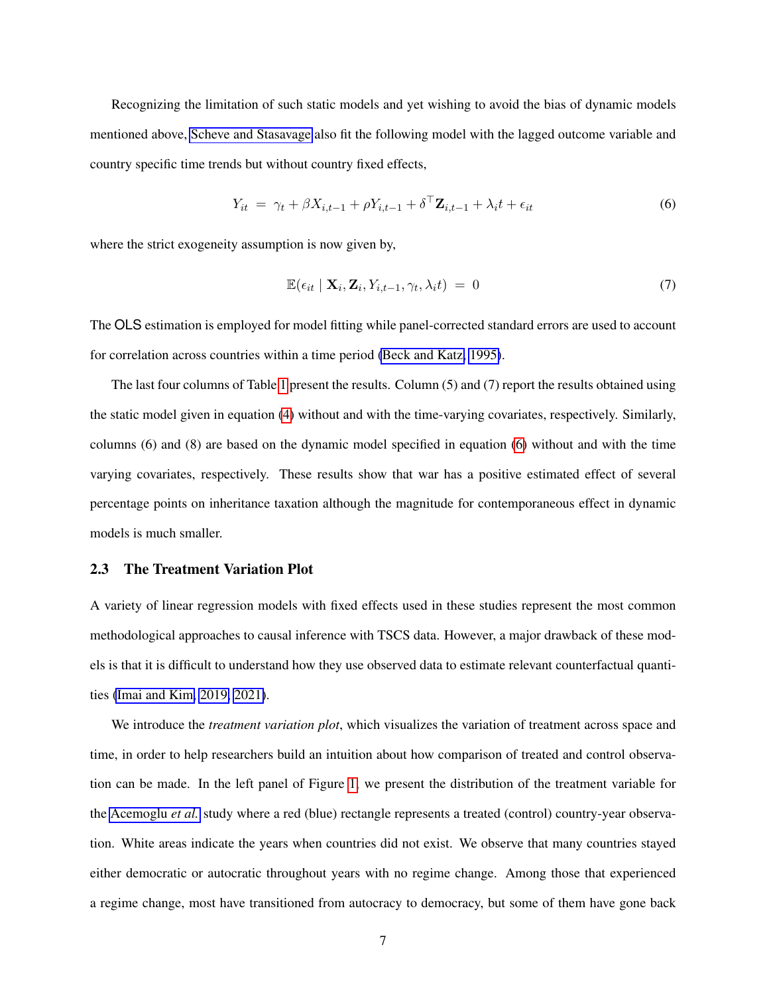Recognizing the limitation of such static models and yet wishing to avoid the bias of dynamic models mentioned above, [Scheve and Stasavage](#page-33-6) also fit the following model with the lagged outcome variable and country specific time trends but without country fixed effects,

<span id="page-7-0"></span>
$$
Y_{it} = \gamma_t + \beta X_{i,t-1} + \rho Y_{i,t-1} + \delta^\top \mathbf{Z}_{i,t-1} + \lambda_i t + \epsilon_{it}
$$
\n
$$
\tag{6}
$$

where the strict exogeneity assumption is now given by,

$$
\mathbb{E}(\epsilon_{it} \mid \mathbf{X}_i, \mathbf{Z}_i, Y_{i,t-1}, \gamma_t, \lambda_i t) = 0 \tag{7}
$$

The OLS estimation is employed for model fitting while panel-corrected standard errors are used to account for correlation across countries within a time period [\(Beck and Katz, 1995\)](#page-30-6).

The last four columns of Table [1](#page-5-0) present the results. Column (5) and (7) report the results obtained using the static model given in equation [\(4\)](#page-6-0) without and with the time-varying covariates, respectively. Similarly, columns (6) and (8) are based on the dynamic model specified in equation [\(6\)](#page-7-0) without and with the time varying covariates, respectively. These results show that war has a positive estimated effect of several percentage points on inheritance taxation although the magnitude for contemporaneous effect in dynamic models is much smaller.

#### 2.3 The Treatment Variation Plot

A variety of linear regression models with fixed effects used in these studies represent the most common methodological approaches to causal inference with TSCS data. However, a major drawback of these models is that it is difficult to understand how they use observed data to estimate relevant counterfactual quantities [\(Imai and Kim, 2019,](#page-32-0) [2021\)](#page-32-1).

We introduce the *treatment variation plot*, which visualizes the variation of treatment across space and time, in order to help researchers build an intuition about how comparison of treated and control observation can be made. In the left panel of Figure [1,](#page-8-0) we present the distribution of the treatment variable for the [Acemoglu](#page-30-4) *et al.* study where a red (blue) rectangle represents a treated (control) country-year observation. White areas indicate the years when countries did not exist. We observe that many countries stayed either democratic or autocratic throughout years with no regime change. Among those that experienced a regime change, most have transitioned from autocracy to democracy, but some of them have gone back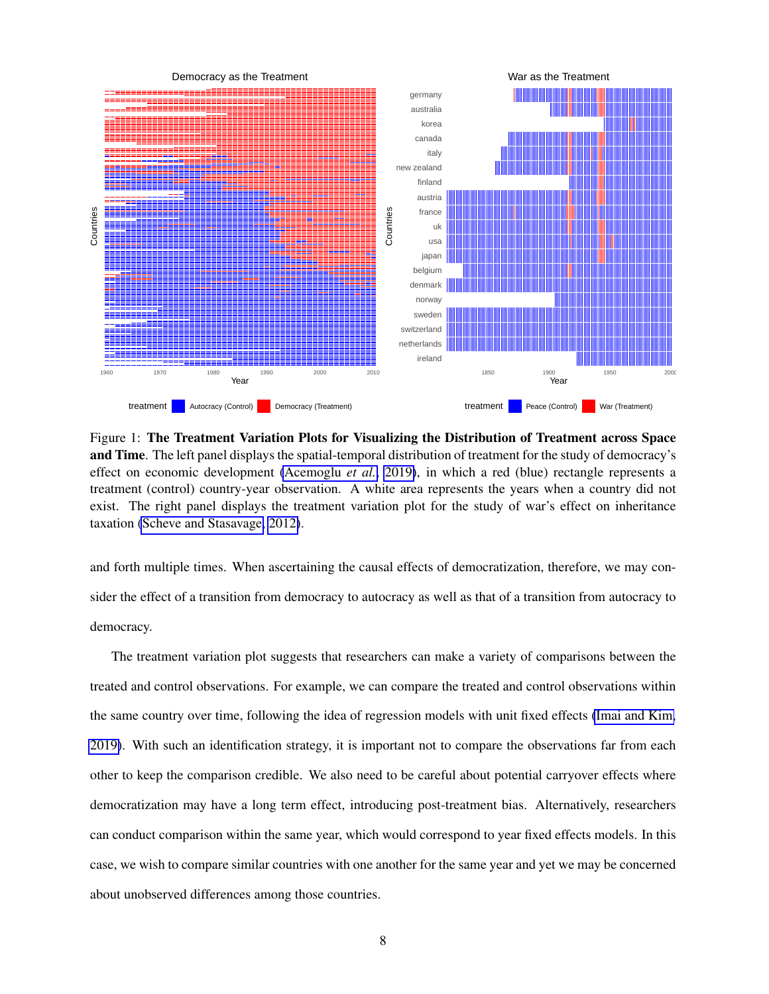<span id="page-8-0"></span>

Figure 1: The Treatment Variation Plots for Visualizing the Distribution of Treatment across Space and Time. The left panel displays the spatial-temporal distribution of treatment for the study of democracy's effect on economic development [\(Acemoglu](#page-30-4) *et al.*, [2019\)](#page-30-4), in which a red (blue) rectangle represents a treatment (control) country-year observation. A white area represents the years when a country did not exist. The right panel displays the treatment variation plot for the study of war's effect on inheritance taxation [\(Scheve and Stasavage, 2012\)](#page-33-6).

and forth multiple times. When ascertaining the causal effects of democratization, therefore, we may consider the effect of a transition from democracy to autocracy as well as that of a transition from autocracy to democracy.

The treatment variation plot suggests that researchers can make a variety of comparisons between the treated and control observations. For example, we can compare the treated and control observations within the same country over time, following the idea of regression models with unit fixed effects [\(Imai and Kim,](#page-32-0) [2019\)](#page-32-0). With such an identification strategy, it is important not to compare the observations far from each other to keep the comparison credible. We also need to be careful about potential carryover effects where democratization may have a long term effect, introducing post-treatment bias. Alternatively, researchers can conduct comparison within the same year, which would correspond to year fixed effects models. In this case, we wish to compare similar countries with one another for the same year and yet we may be concerned about unobserved differences among those countries.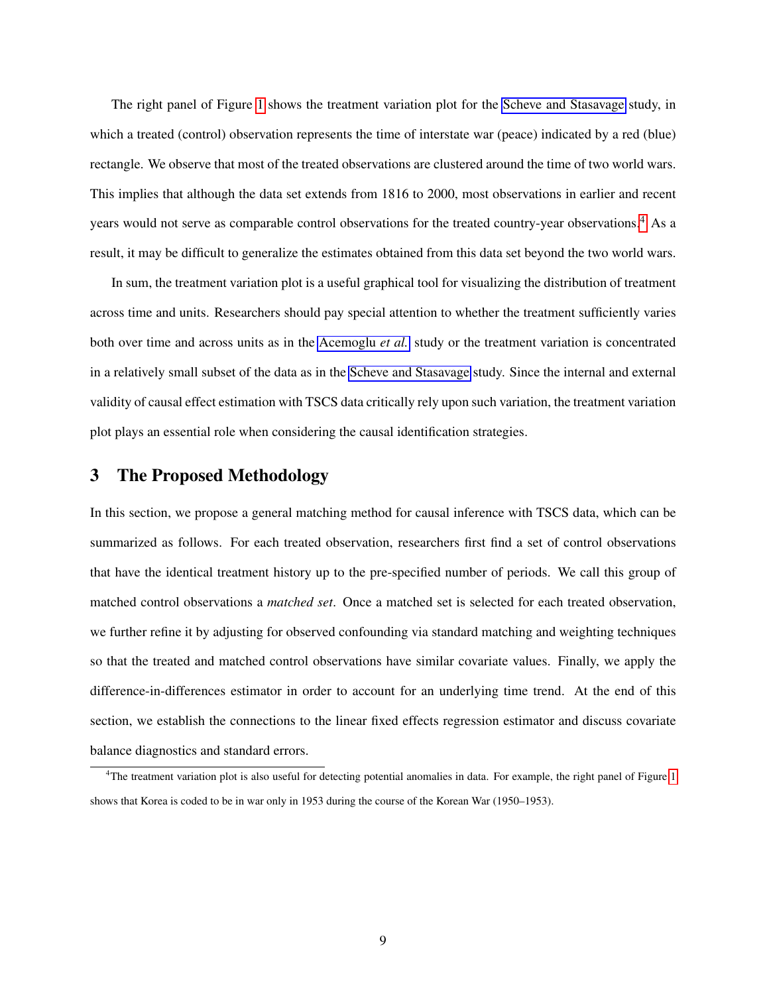The right panel of Figure [1](#page-8-0) shows the treatment variation plot for the [Scheve and Stasavage](#page-33-6) study, in which a treated (control) observation represents the time of interstate war (peace) indicated by a red (blue) rectangle. We observe that most of the treated observations are clustered around the time of two world wars. This implies that although the data set extends from 1816 to 2000, most observations in earlier and recent years would not serve as comparable control observations for the treated country-year observations.<sup>[4](#page-9-1)</sup> As a result, it may be difficult to generalize the estimates obtained from this data set beyond the two world wars.

In sum, the treatment variation plot is a useful graphical tool for visualizing the distribution of treatment across time and units. Researchers should pay special attention to whether the treatment sufficiently varies both over time and across units as in the [Acemoglu](#page-30-4) *et al.* study or the treatment variation is concentrated in a relatively small subset of the data as in the [Scheve and Stasavage](#page-33-6) study. Since the internal and external validity of causal effect estimation with TSCS data critically rely upon such variation, the treatment variation plot plays an essential role when considering the causal identification strategies.

# <span id="page-9-0"></span>3 The Proposed Methodology

In this section, we propose a general matching method for causal inference with TSCS data, which can be summarized as follows. For each treated observation, researchers first find a set of control observations that have the identical treatment history up to the pre-specified number of periods. We call this group of matched control observations a *matched set*. Once a matched set is selected for each treated observation, we further refine it by adjusting for observed confounding via standard matching and weighting techniques so that the treated and matched control observations have similar covariate values. Finally, we apply the difference-in-differences estimator in order to account for an underlying time trend. At the end of this section, we establish the connections to the linear fixed effects regression estimator and discuss covariate balance diagnostics and standard errors.

<span id="page-9-1"></span><sup>&</sup>lt;sup>4</sup>The treatment variation plot is also useful for detecting potential anomalies in data. For example, the right panel of Figure [1](#page-8-0) shows that Korea is coded to be in war only in 1953 during the course of the Korean War (1950–1953).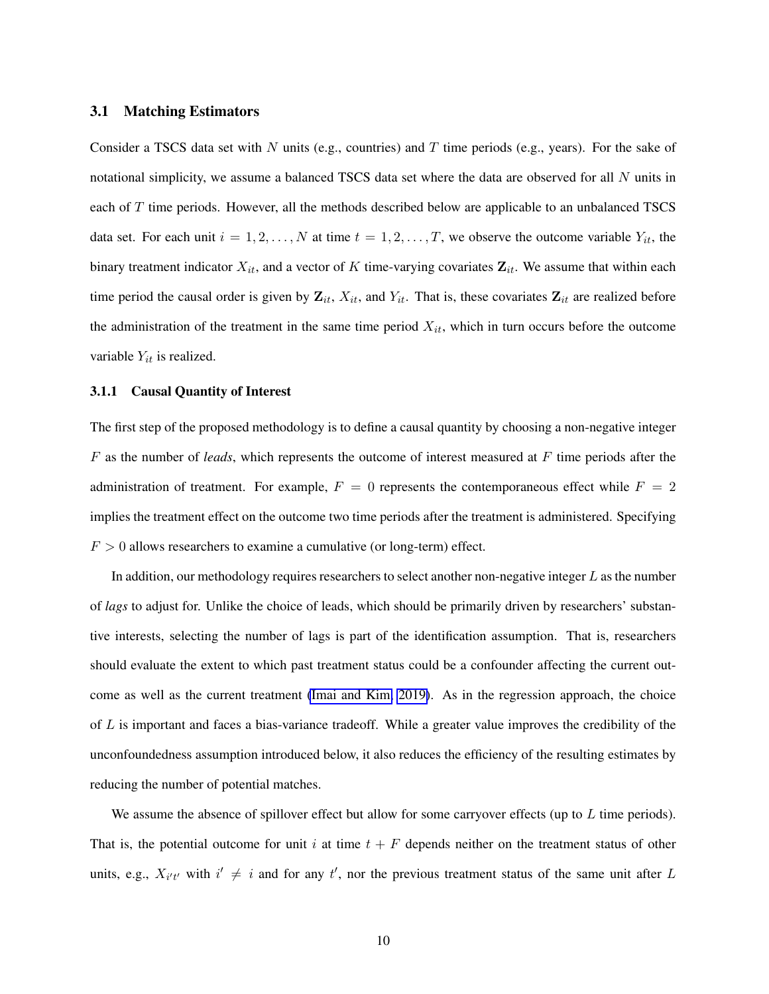#### 3.1 Matching Estimators

Consider a TSCS data set with N units (e.g., countries) and T time periods (e.g., years). For the sake of notational simplicity, we assume a balanced TSCS data set where the data are observed for all N units in each of T time periods. However, all the methods described below are applicable to an unbalanced TSCS data set. For each unit  $i = 1, 2, ..., N$  at time  $t = 1, 2, ..., T$ , we observe the outcome variable  $Y_{it}$ , the binary treatment indicator  $X_{it}$ , and a vector of K time-varying covariates  $\mathbf{Z}_{it}$ . We assume that within each time period the causal order is given by  $\mathbf{Z}_{it}$ ,  $X_{it}$ , and  $Y_{it}$ . That is, these covariates  $\mathbf{Z}_{it}$  are realized before the administration of the treatment in the same time period  $X_{it}$ , which in turn occurs before the outcome variable  $Y_{it}$  is realized.

#### 3.1.1 Causal Quantity of Interest

The first step of the proposed methodology is to define a causal quantity by choosing a non-negative integer F as the number of *leads*, which represents the outcome of interest measured at F time periods after the administration of treatment. For example,  $F = 0$  represents the contemporaneous effect while  $F = 2$ implies the treatment effect on the outcome two time periods after the treatment is administered. Specifying  $F > 0$  allows researchers to examine a cumulative (or long-term) effect.

In addition, our methodology requires researchers to select another non-negative integer  $L$  as the number of *lags* to adjust for. Unlike the choice of leads, which should be primarily driven by researchers' substantive interests, selecting the number of lags is part of the identification assumption. That is, researchers should evaluate the extent to which past treatment status could be a confounder affecting the current outcome as well as the current treatment [\(Imai and Kim, 2019\)](#page-32-0). As in the regression approach, the choice of  $L$  is important and faces a bias-variance tradeoff. While a greater value improves the credibility of the unconfoundedness assumption introduced below, it also reduces the efficiency of the resulting estimates by reducing the number of potential matches.

We assume the absence of spillover effect but allow for some carryover effects (up to  $L$  time periods). That is, the potential outcome for unit i at time  $t + F$  depends neither on the treatment status of other units, e.g.,  $X_{i't'}$  with  $i' \neq i$  and for any t', nor the previous treatment status of the same unit after L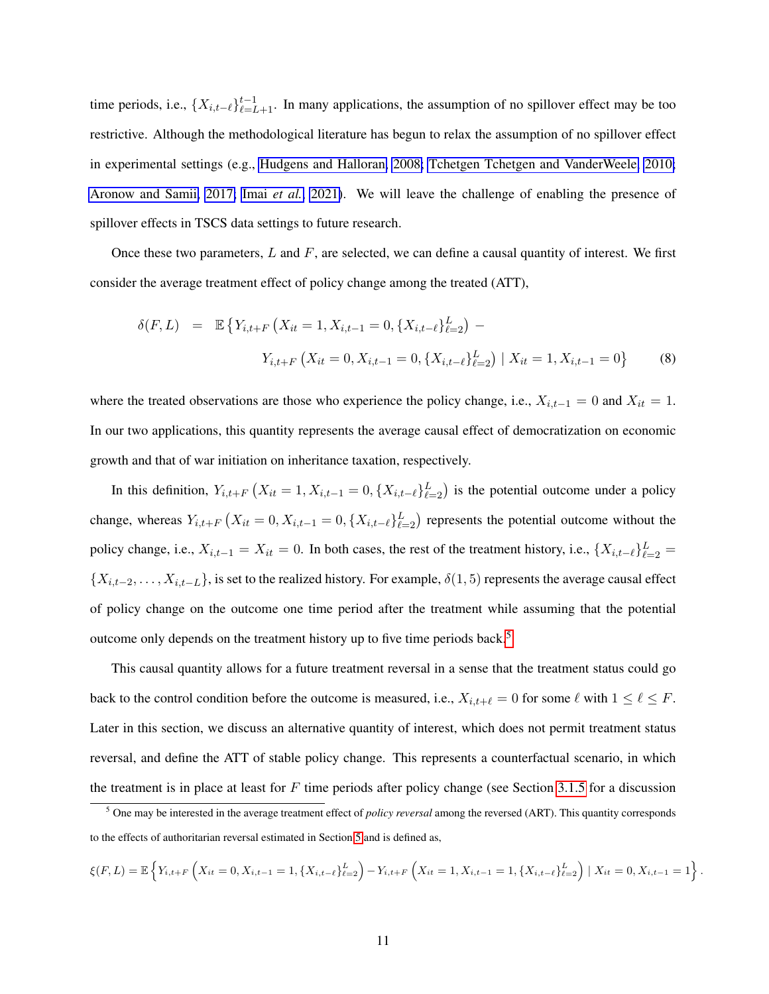time periods, i.e.,  $\{X_{i,t-\ell}\}_{\ell=L+1}^{t-1}$ . In many applications, the assumption of no spillover effect may be too restrictive. Although the methodological literature has begun to relax the assumption of no spillover effect in experimental settings (e.g., [Hudgens and Halloran, 2008;](#page-31-7) [Tchetgen Tchetgen and VanderWeele, 2010;](#page-33-7) [Aronow and Samii, 2017;](#page-30-7) Imai *[et al.](#page-32-6)*, [2021\)](#page-32-6). We will leave the challenge of enabling the presence of spillover effects in TSCS data settings to future research.

Once these two parameters,  $L$  and  $F$ , are selected, we can define a causal quantity of interest. We first consider the average treatment effect of policy change among the treated (ATT),

<span id="page-11-1"></span>
$$
\delta(F, L) = \mathbb{E}\left\{Y_{i,t+F}\left(X_{it} = 1, X_{i,t-1} = 0, \{X_{i,t-\ell}\}_{\ell=2}^{L}\right) - Y_{i,t+F}\left(X_{it} = 0, X_{i,t-1} = 0, \{X_{i,t-\ell}\}_{\ell=2}^{L}\right) | X_{it} = 1, X_{i,t-1} = 0\right\}
$$
\n(8)

where the treated observations are those who experience the policy change, i.e.,  $X_{i,t-1} = 0$  and  $X_{it} = 1$ . In our two applications, this quantity represents the average causal effect of democratization on economic growth and that of war initiation on inheritance taxation, respectively.

In this definition,  $Y_{i,t+F}$   $(X_{it} = 1, X_{i,t-1} = 0, \{X_{i,t-\ell}\}_{\ell=2}^L)$  is the potential outcome under a policy change, whereas  $Y_{i,t+F}$   $(X_{it} = 0, X_{i,t-1} = 0, \{X_{i,t-\ell}\}_{\ell=2}^L)$  represents the potential outcome without the policy change, i.e.,  $X_{i,t-1} = X_{it} = 0$ . In both cases, the rest of the treatment history, i.e.,  $\{X_{i,t-\ell}\}_{\ell=2}^L =$  $\{X_{i,t-2}, \ldots, X_{i,t-L}\}\)$ , is set to the realized history. For example,  $\delta(1,5)$  represents the average causal effect of policy change on the outcome one time period after the treatment while assuming that the potential outcome only depends on the treatment history up to five time periods back.<sup>[5](#page-11-0)</sup>

This causal quantity allows for a future treatment reversal in a sense that the treatment status could go back to the control condition before the outcome is measured, i.e.,  $X_{i,t+\ell} = 0$  for some  $\ell$  with  $1 \le \ell \le F$ . Later in this section, we discuss an alternative quantity of interest, which does not permit treatment status reversal, and define the ATT of stable policy change. This represents a counterfactual scenario, in which the treatment is in place at least for  $F$  time periods after policy change (see Section [3.1.5](#page-17-0) for a discussion

$$
\xi(F, L) = \mathbb{E}\left\{Y_{i,t+F}\left(X_{it} = 0, X_{i,t-1} = 1, \{X_{i,t-\ell}\}_{\ell=2}^L\right) - Y_{i,t+F}\left(X_{it} = 1, X_{i,t-1} = 1, \{X_{i,t-\ell}\}_{\ell=2}^L\right) \mid X_{it} = 0, X_{i,t-1} = 1\right\}
$$

.

<span id="page-11-0"></span><sup>5</sup> One may be interested in the average treatment effect of *policy reversal* among the reversed (ART). This quantity corresponds to the effects of authoritarian reversal estimated in Section [5](#page-21-1) and is defined as,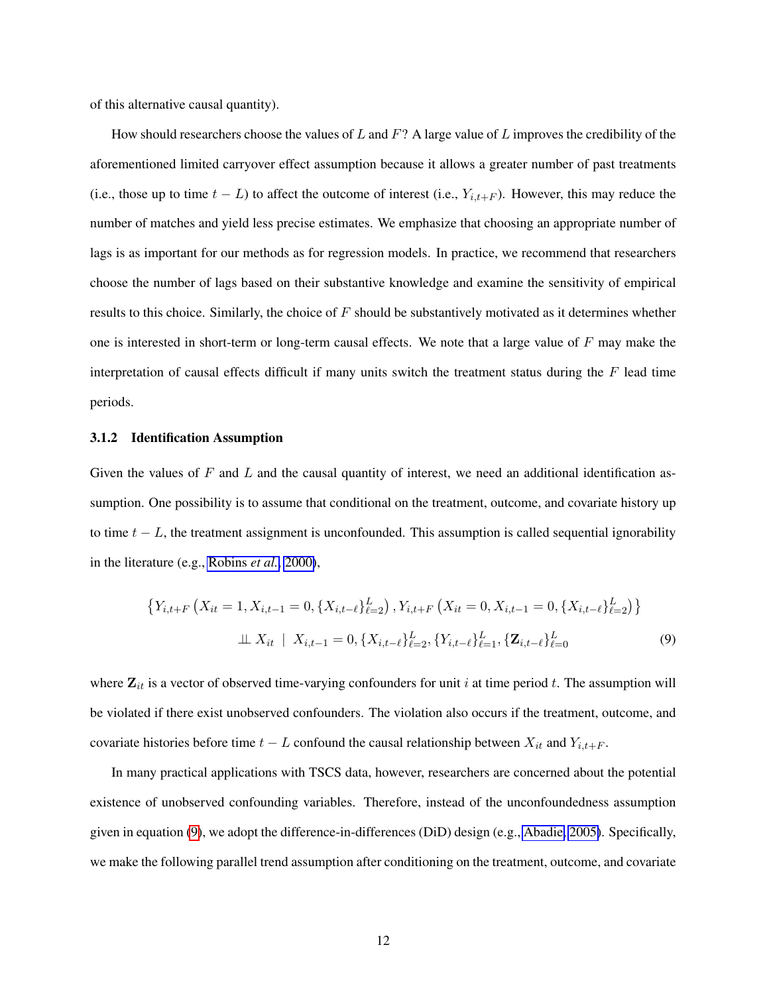of this alternative causal quantity).

How should researchers choose the values of L and  $F$ ? A large value of L improves the credibility of the aforementioned limited carryover effect assumption because it allows a greater number of past treatments (i.e., those up to time  $t - L$ ) to affect the outcome of interest (i.e.,  $Y_{i,t+F}$ ). However, this may reduce the number of matches and yield less precise estimates. We emphasize that choosing an appropriate number of lags is as important for our methods as for regression models. In practice, we recommend that researchers choose the number of lags based on their substantive knowledge and examine the sensitivity of empirical results to this choice. Similarly, the choice of  $F$  should be substantively motivated as it determines whether one is interested in short-term or long-term causal effects. We note that a large value of  $F$  may make the interpretation of causal effects difficult if many units switch the treatment status during the  $F$  lead time periods.

#### 3.1.2 Identification Assumption

Given the values of F and L and the causal quantity of interest, we need an additional identification assumption. One possibility is to assume that conditional on the treatment, outcome, and covariate history up to time  $t - L$ , the treatment assignment is unconfounded. This assumption is called sequential ignorability in the literature (e.g., [Robins](#page-33-5) *et al.*, [2000\)](#page-33-5),

<span id="page-12-0"></span>
$$
\{Y_{i,t+F}\left(X_{it}=1,X_{i,t-1}=0,\{X_{i,t-\ell}\}_{\ell=2}^L\right),Y_{i,t+F}\left(X_{it}=0,X_{i,t-1}=0,\{X_{i,t-\ell}\}_{\ell=2}^L\right)\}\
$$
  

$$
\perp \!\!\!\perp X_{it} \mid X_{i,t-1}=0,\{X_{i,t-\ell}\}_{\ell=2}^L,\{Y_{i,t-\ell}\}_{\ell=1}^L,\{\mathbf{Z}_{i,t-\ell}\}_{\ell=0}^L
$$
 (9)

where  $\mathbf{Z}_{it}$  is a vector of observed time-varying confounders for unit i at time period t. The assumption will be violated if there exist unobserved confounders. The violation also occurs if the treatment, outcome, and covariate histories before time  $t - L$  confound the causal relationship between  $X_{it}$  and  $Y_{i,t+F}$ .

In many practical applications with TSCS data, however, researchers are concerned about the potential existence of unobserved confounding variables. Therefore, instead of the unconfoundedness assumption given in equation [\(9\)](#page-12-0), we adopt the difference-in-differences (DiD) design (e.g., [Abadie, 2005\)](#page-29-1). Specifically, we make the following parallel trend assumption after conditioning on the treatment, outcome, and covariate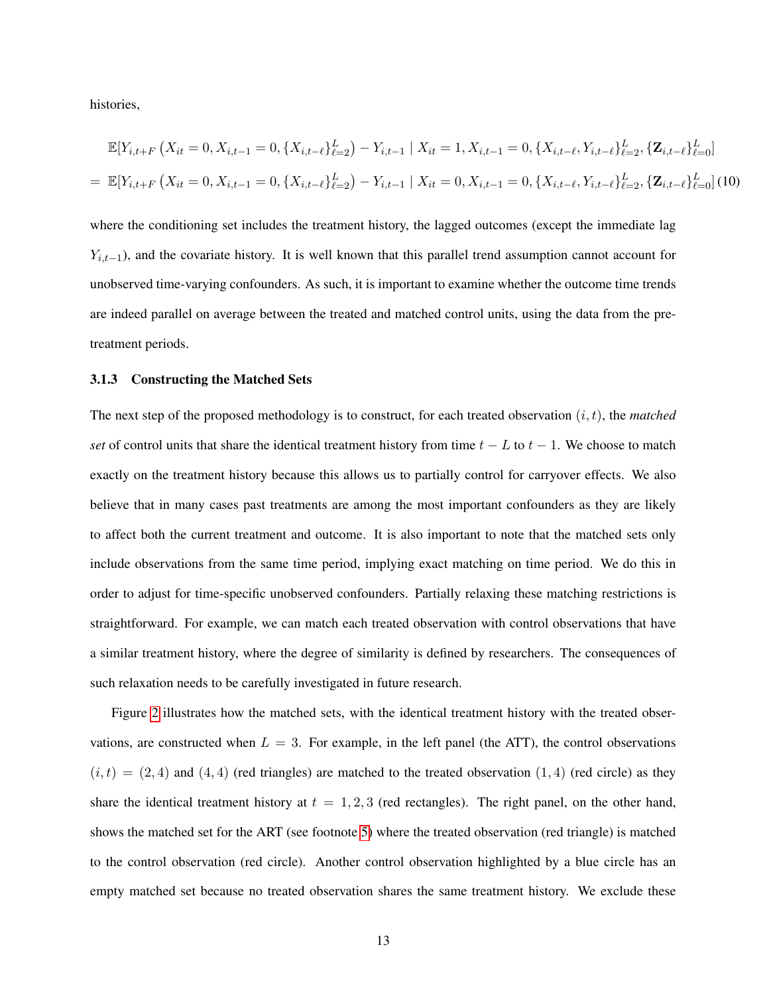histories,

<span id="page-13-0"></span>
$$
\mathbb{E}[Y_{i,t+F}(X_{it}=0,X_{i,t-1}=0,\{X_{i,t-\ell}\}_{\ell=2}^{L})-Y_{i,t-1} | X_{it}=1,X_{i,t-1}=0,\{X_{i,t-\ell},Y_{i,t-\ell}\}_{\ell=2}^{L},\{\mathbf{Z}_{i,t-\ell}\}_{\ell=0}^{L}]
$$
\n
$$
= \mathbb{E}[Y_{i,t+F}(X_{it}=0,X_{i,t-1}=0,\{X_{i,t-\ell}\}_{\ell=2}^{L})-Y_{i,t-1} | X_{it}=0,X_{i,t-1}=0,\{X_{i,t-\ell},Y_{i,t-\ell}\}_{\ell=2}^{L},\{\mathbf{Z}_{i,t-\ell}\}_{\ell=0}^{L}]
$$
\n(10)

where the conditioning set includes the treatment history, the lagged outcomes (except the immediate lag  $Y_{i,t-1}$ ), and the covariate history. It is well known that this parallel trend assumption cannot account for unobserved time-varying confounders. As such, it is important to examine whether the outcome time trends are indeed parallel on average between the treated and matched control units, using the data from the pretreatment periods.

#### 3.1.3 Constructing the Matched Sets

The next step of the proposed methodology is to construct, for each treated observation  $(i, t)$ , the *matched set* of control units that share the identical treatment history from time  $t - L$  to  $t - 1$ . We choose to match exactly on the treatment history because this allows us to partially control for carryover effects. We also believe that in many cases past treatments are among the most important confounders as they are likely to affect both the current treatment and outcome. It is also important to note that the matched sets only include observations from the same time period, implying exact matching on time period. We do this in order to adjust for time-specific unobserved confounders. Partially relaxing these matching restrictions is straightforward. For example, we can match each treated observation with control observations that have a similar treatment history, where the degree of similarity is defined by researchers. The consequences of such relaxation needs to be carefully investigated in future research.

Figure [2](#page-14-0) illustrates how the matched sets, with the identical treatment history with the treated observations, are constructed when  $L = 3$ . For example, in the left panel (the ATT), the control observations  $(i, t) = (2, 4)$  and  $(4, 4)$  (red triangles) are matched to the treated observation  $(1, 4)$  (red circle) as they share the identical treatment history at  $t = 1, 2, 3$  (red rectangles). The right panel, on the other hand, shows the matched set for the ART (see footnote [5\)](#page-11-0) where the treated observation (red triangle) is matched to the control observation (red circle). Another control observation highlighted by a blue circle has an empty matched set because no treated observation shares the same treatment history. We exclude these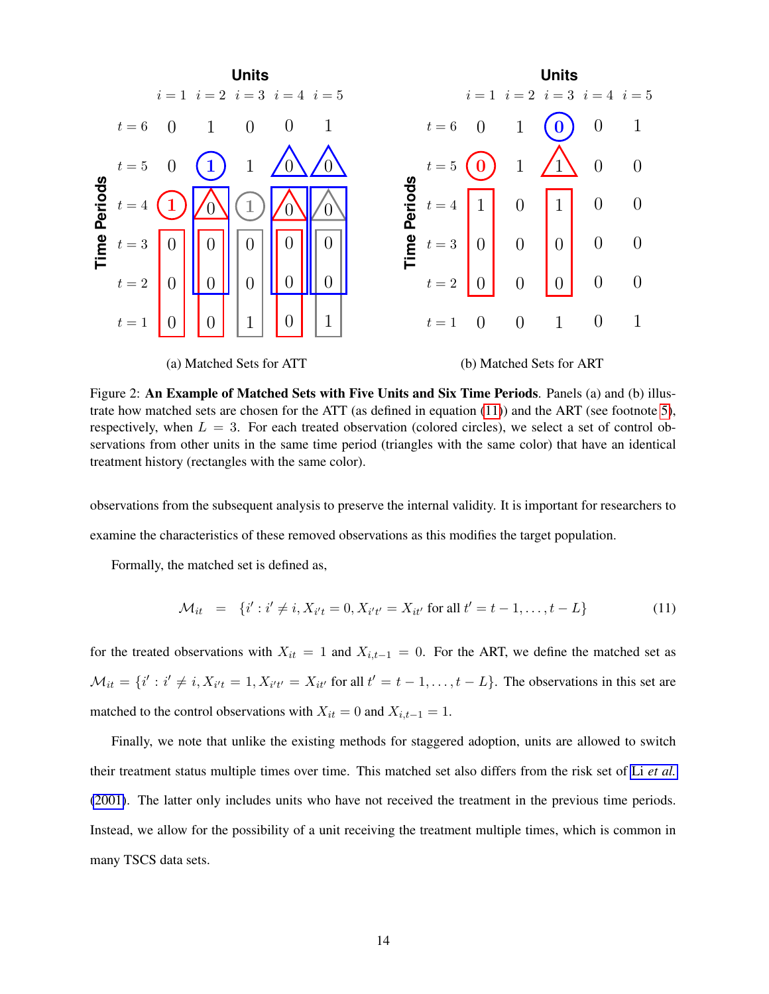<span id="page-14-0"></span>

Figure 2: An Example of Matched Sets with Five Units and Six Time Periods. Panels (a) and (b) illustrate how matched sets are chosen for the ATT (as defined in equation [\(11\)](#page-14-1)) and the ART (see footnote [5\)](#page-11-0), respectively, when  $L = 3$ . For each treated observation (colored circles), we select a set of control observations from other units in the same time period (triangles with the same color) that have an identical treatment history (rectangles with the same color).

observations from the subsequent analysis to preserve the internal validity. It is important for researchers to examine the characteristics of these removed observations as this modifies the target population.

Formally, the matched set is defined as,

<span id="page-14-1"></span>
$$
\mathcal{M}_{it} = \{i' : i' \neq i, X_{i't} = 0, X_{i't'} = X_{it'} \text{ for all } t' = t - 1, ..., t - L\}
$$
(11)

for the treated observations with  $X_{it} = 1$  and  $X_{i,t-1} = 0$ . For the ART, we define the matched set as  $\mathcal{M}_{it} = \{i' : i' \neq i, X_{i't} = 1, X_{i't'} = X_{it'} \text{ for all } t' = t-1, \dots, t-L\}.$  The observations in this set are matched to the control observations with  $X_{it} = 0$  and  $X_{i,t-1} = 1$ .

Finally, we note that unlike the existing methods for staggered adoption, units are allowed to switch their treatment status multiple times over time. This matched set also differs from the risk set of Li *[et al.](#page-32-7)* [\(2001\)](#page-32-7). The latter only includes units who have not received the treatment in the previous time periods. Instead, we allow for the possibility of a unit receiving the treatment multiple times, which is common in many TSCS data sets.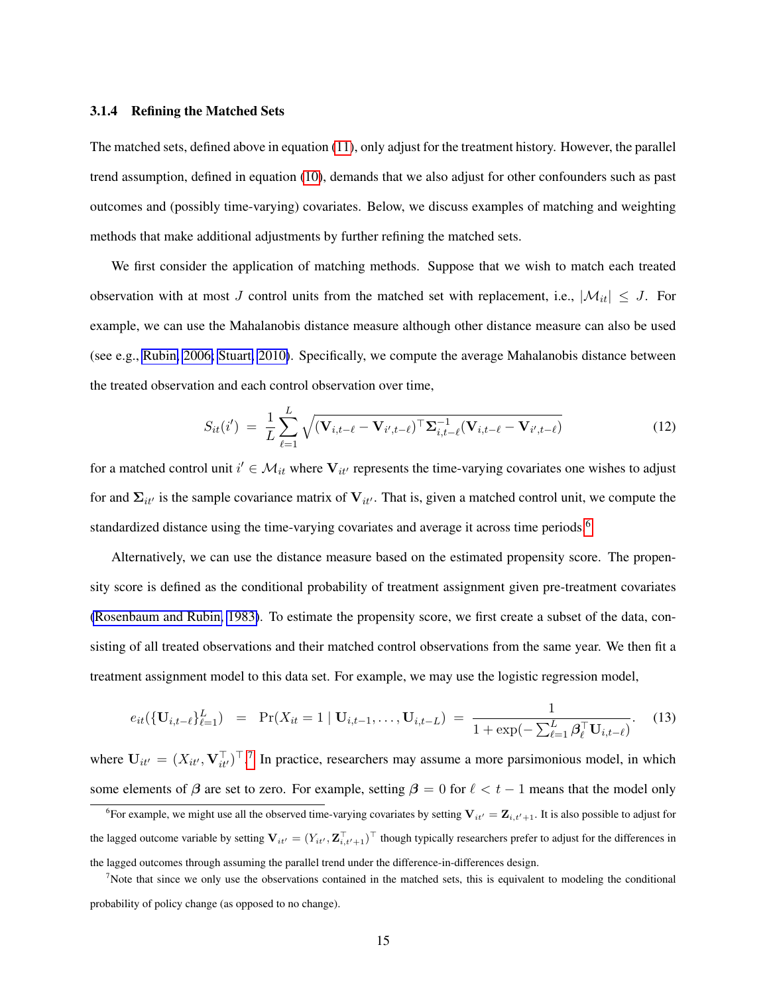#### 3.1.4 Refining the Matched Sets

The matched sets, defined above in equation [\(11\)](#page-14-1), only adjust for the treatment history. However, the parallel trend assumption, defined in equation [\(10\)](#page-13-0), demands that we also adjust for other confounders such as past outcomes and (possibly time-varying) covariates. Below, we discuss examples of matching and weighting methods that make additional adjustments by further refining the matched sets.

We first consider the application of matching methods. Suppose that we wish to match each treated observation with at most J control units from the matched set with replacement, i.e.,  $|\mathcal{M}_{it}| \leq J$ . For example, we can use the Mahalanobis distance measure although other distance measure can also be used (see e.g., [Rubin, 2006;](#page-33-0) [Stuart, 2010\)](#page-33-1). Specifically, we compute the average Mahalanobis distance between the treated observation and each control observation over time,

<span id="page-15-3"></span>
$$
S_{it}(i') = \frac{1}{L} \sum_{\ell=1}^{L} \sqrt{(\mathbf{V}_{i,t-\ell} - \mathbf{V}_{i',t-\ell})^{\top} \Sigma_{i,t-\ell}^{-1} (\mathbf{V}_{i,t-\ell} - \mathbf{V}_{i',t-\ell})}
$$
(12)

for a matched control unit  $i' \in \mathcal{M}_{it}$  where  $V_{it'}$  represents the time-varying covariates one wishes to adjust for and  $\Sigma_{it'}$  is the sample covariance matrix of  $V_{it'}$ . That is, given a matched control unit, we compute the standardized distance using the time-varying covariates and average it across time periods.<sup>[6](#page-15-0)</sup>

Alternatively, we can use the distance measure based on the estimated propensity score. The propensity score is defined as the conditional probability of treatment assignment given pre-treatment covariates [\(Rosenbaum and Rubin, 1983\)](#page-33-8). To estimate the propensity score, we first create a subset of the data, consisting of all treated observations and their matched control observations from the same year. We then fit a treatment assignment model to this data set. For example, we may use the logistic regression model,

<span id="page-15-2"></span>
$$
e_{it}(\{\mathbf{U}_{i,t-\ell}\}_{\ell=1}^L) = \Pr(X_{it} = 1 \mid \mathbf{U}_{i,t-1}, \ldots, \mathbf{U}_{i,t-L}) = \frac{1}{1 + \exp(-\sum_{\ell=1}^L \boldsymbol{\beta}_{\ell}^\top \mathbf{U}_{i,t-\ell})}.
$$
(13)

where  $\mathbf{U}_{it'} = (X_{it'}, \mathbf{V}_{it'}^\top)^\top$ .<sup>[7](#page-15-1)</sup> In practice, researchers may assume a more parsimonious model, in which some elements of  $\beta$  are set to zero. For example, setting  $\beta = 0$  for  $\ell < t - 1$  means that the model only

<span id="page-15-0"></span><sup>&</sup>lt;sup>6</sup>For example, we might use all the observed time-varying covariates by setting  $V_{it'} = Z_{i,t'+1}$ . It is also possible to adjust for the lagged outcome variable by setting  $V_{it'} = (Y_{it'}, \mathbf{Z}_{i,t'+1}^\top)^\top$  though typically researchers prefer to adjust for the differences in the lagged outcomes through assuming the parallel trend under the difference-in-differences design.

<span id="page-15-1"></span><sup>&</sup>lt;sup>7</sup>Note that since we only use the observations contained in the matched sets, this is equivalent to modeling the conditional probability of policy change (as opposed to no change).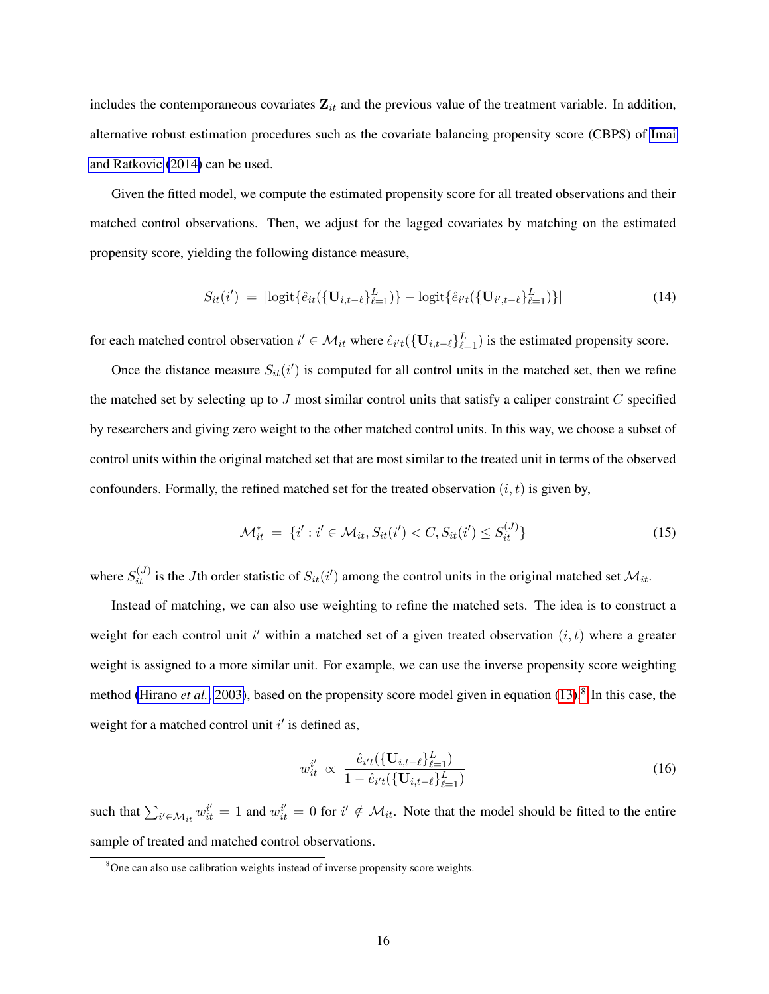includes the contemporaneous covariates  $\mathbf{Z}_{it}$  and the previous value of the treatment variable. In addition, alternative robust estimation procedures such as the covariate balancing propensity score (CBPS) of [Imai](#page-32-8) [and Ratkovic](#page-32-8) [\(2014\)](#page-32-8) can be used.

Given the fitted model, we compute the estimated propensity score for all treated observations and their matched control observations. Then, we adjust for the lagged covariates by matching on the estimated propensity score, yielding the following distance measure,

<span id="page-16-1"></span>
$$
S_{it}(i') = |\text{logit}\{\hat{e}_{it}(\{\mathbf{U}_{i,t-\ell}\}_{\ell=1}^L)\} - \text{logit}\{\hat{e}_{i't}(\{\mathbf{U}_{i',t-\ell}\}_{\ell=1}^L)\}|
$$
(14)

for each matched control observation  $i' \in \mathcal{M}_{it}$  where  $\hat{e}_{i't}(\{\mathbf{U}_{i,t-\ell}\}_{\ell=1}^L)$  is the estimated propensity score.

Once the distance measure  $S_{it}(i')$  is computed for all control units in the matched set, then we refine the matched set by selecting up to  $J$  most similar control units that satisfy a caliper constraint  $C$  specified by researchers and giving zero weight to the other matched control units. In this way, we choose a subset of control units within the original matched set that are most similar to the treated unit in terms of the observed confounders. Formally, the refined matched set for the treated observation  $(i, t)$  is given by,

$$
\mathcal{M}_{it}^* = \{i' : i' \in \mathcal{M}_{it}, S_{it}(i') < C, S_{it}(i') \leq S_{it}^{(J)}\}\tag{15}
$$

where  $S_{it}^{(J)}$  is the Jth order statistic of  $S_{it}(i')$  among the control units in the original matched set  $\mathcal{M}_{it}$ .

Instead of matching, we can also use weighting to refine the matched sets. The idea is to construct a weight for each control unit i' within a matched set of a given treated observation  $(i, t)$  where a greater weight is assigned to a more similar unit. For example, we can use the inverse propensity score weighting method [\(Hirano](#page-31-8) *et al.*, [2003\)](#page-31-8), based on the propensity score model given in equation [\(13\)](#page-15-2).<sup>[8](#page-16-0)</sup> In this case, the weight for a matched control unit  $i'$  is defined as,

<span id="page-16-2"></span>
$$
w_{it}^{i'} \propto \frac{\hat{e}_{i't}(\{\mathbf{U}_{i,t-\ell}\}_{\ell=1}^{L})}{1-\hat{e}_{i't}(\{\mathbf{U}_{i,t-\ell}\}_{\ell=1}^{L})}
$$
(16)

such that  $\sum_{i' \in \mathcal{M}_{it}} w_{it}^{i'} = 1$  and  $w_{it}^{i'} = 0$  for  $i' \notin \mathcal{M}_{it}$ . Note that the model should be fitted to the entire sample of treated and matched control observations.

<span id="page-16-0"></span> $8$ One can also use calibration weights instead of inverse propensity score weights.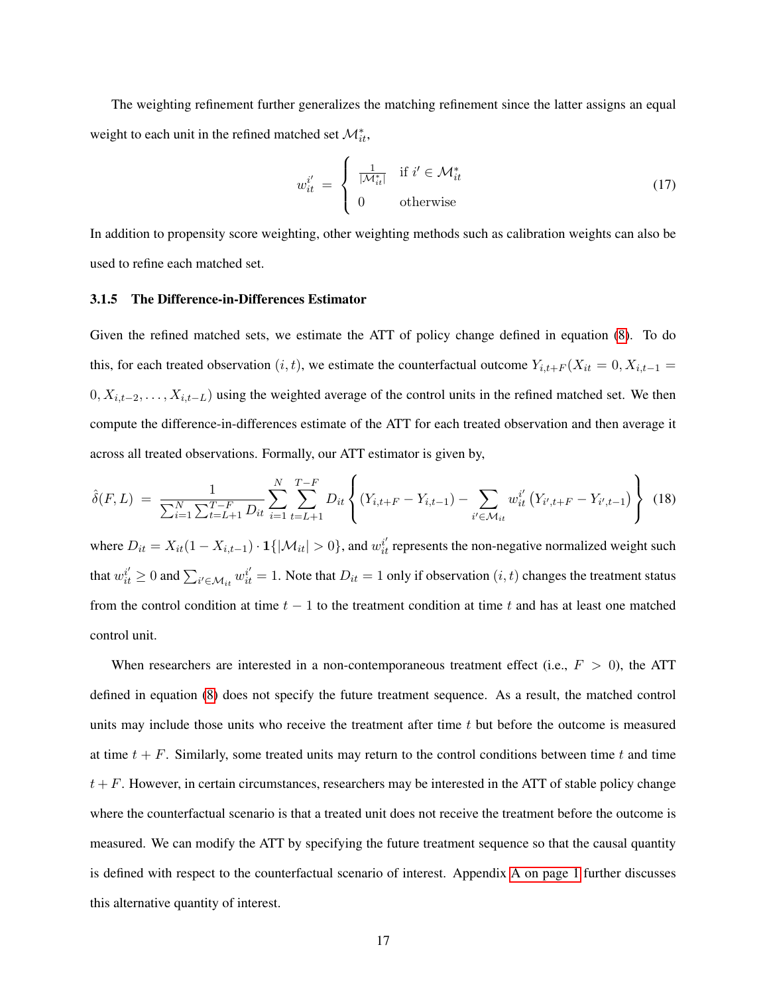The weighting refinement further generalizes the matching refinement since the latter assigns an equal weight to each unit in the refined matched set  $\mathcal{M}^*_{it}$ ,

$$
w_{it}^{i'} = \begin{cases} \frac{1}{|\mathcal{M}_{it}^*|} & \text{if } i' \in \mathcal{M}_{it}^* \\ 0 & \text{otherwise} \end{cases}
$$
 (17)

In addition to propensity score weighting, other weighting methods such as calibration weights can also be used to refine each matched set.

#### <span id="page-17-0"></span>3.1.5 The Difference-in-Differences Estimator

Given the refined matched sets, we estimate the ATT of policy change defined in equation [\(8\)](#page-11-1). To do this, for each treated observation  $(i, t)$ , we estimate the counterfactual outcome  $Y_{i,t+F}(X_{it} = 0, X_{i,t-1} =$  $0, X_{i,t-2}, \ldots, X_{i,t-L}$ ) using the weighted average of the control units in the refined matched set. We then compute the difference-in-differences estimate of the ATT for each treated observation and then average it across all treated observations. Formally, our ATT estimator is given by,

<span id="page-17-1"></span>
$$
\hat{\delta}(F, L) = \frac{1}{\sum_{i=1}^{N} \sum_{t=L+1}^{T-F} D_{it}} \sum_{i=1}^{N} \sum_{t=L+1}^{T-F} D_{it} \left\{ (Y_{i,t+F} - Y_{i,t-1}) - \sum_{i' \in \mathcal{M}_{it}} w_{it}^{i'} (Y_{i',t+F} - Y_{i',t-1}) \right\} (18)
$$

where  $D_{it} = X_{it}(1 - X_{i,t-1}) \cdot \mathbf{1}\{|\mathcal{M}_{it}| > 0\}$ , and  $w_{it}^{i'}$  represents the non-negative normalized weight such that  $w_{it}^{i'} \ge 0$  and  $\sum_{i' \in \mathcal{M}_{it}} w_{it}^{i'} = 1$ . Note that  $D_{it} = 1$  only if observation  $(i, t)$  changes the treatment status from the control condition at time  $t - 1$  to the treatment condition at time t and has at least one matched control unit.

When researchers are interested in a non-contemporaneous treatment effect (i.e.,  $F > 0$ ), the ATT defined in equation [\(8\)](#page-11-1) does not specify the future treatment sequence. As a result, the matched control units may include those units who receive the treatment after time  $t$  but before the outcome is measured at time  $t + F$ . Similarly, some treated units may return to the control conditions between time t and time  $t + F$ . However, in certain circumstances, researchers may be interested in the ATT of stable policy change where the counterfactual scenario is that a treated unit does not receive the treatment before the outcome is measured. We can modify the ATT by specifying the future treatment sequence so that the causal quantity is defined with respect to the counterfactual scenario of interest. Appendix [A on page 1](#page-0-0) further discusses this alternative quantity of interest.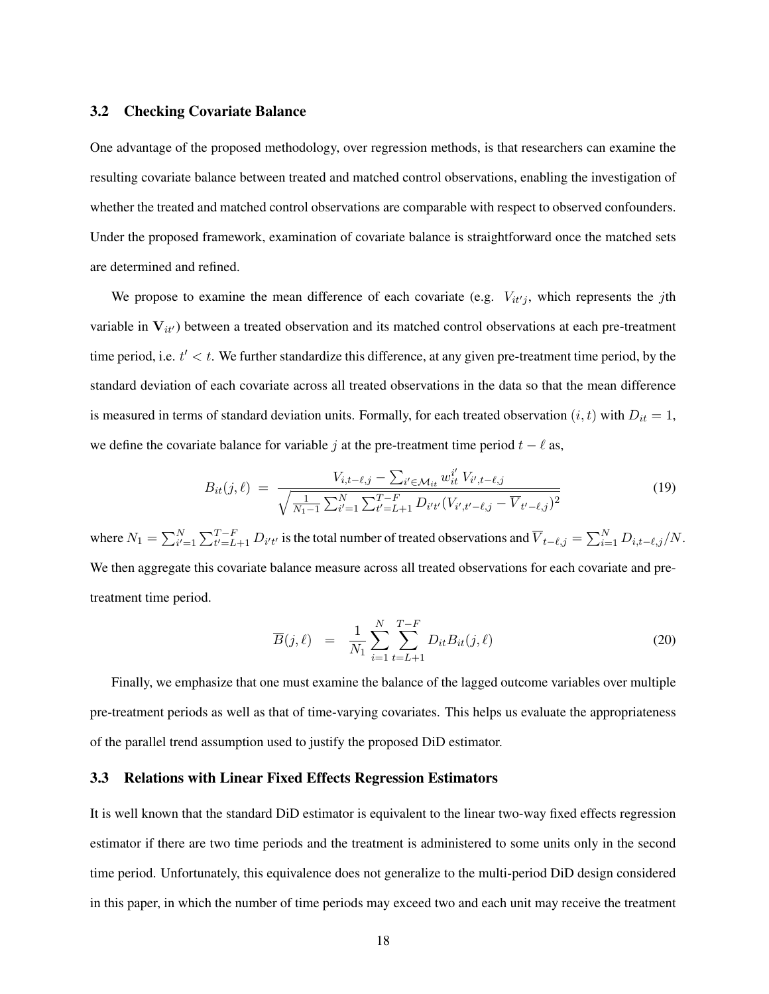#### 3.2 Checking Covariate Balance

One advantage of the proposed methodology, over regression methods, is that researchers can examine the resulting covariate balance between treated and matched control observations, enabling the investigation of whether the treated and matched control observations are comparable with respect to observed confounders. Under the proposed framework, examination of covariate balance is straightforward once the matched sets are determined and refined.

We propose to examine the mean difference of each covariate (e.g.  $V_{it'j}$ , which represents the jth variable in  $V_{it}$ ) between a treated observation and its matched control observations at each pre-treatment time period, i.e.  $t' < t$ . We further standardize this difference, at any given pre-treatment time period, by the standard deviation of each covariate across all treated observations in the data so that the mean difference is measured in terms of standard deviation units. Formally, for each treated observation  $(i, t)$  with  $D_{it} = 1$ , we define the covariate balance for variable j at the pre-treatment time period  $t - \ell$  as,

$$
B_{it}(j,\ell) = \frac{V_{i,t-\ell,j} - \sum_{i' \in \mathcal{M}_{it}} w_{it}^{i'} V_{i',t-\ell,j}}{\sqrt{\frac{1}{N_1 - 1} \sum_{i'=1}^{N} \sum_{t'=L+1}^{T-F} D_{i't'} (V_{i',t'-\ell,j} - \overline{V}_{t'-\ell,j})^2}}
$$
(19)

where  $N_1 = \sum_{i'=1}^{N} \sum_{t'=L+1}^{T-F} D_{i't'}$  is the total number of treated observations and  $\overline{V}_{t-\ell,j} = \sum_{i=1}^{N} D_{i,t-\ell,j}/N$ . We then aggregate this covariate balance measure across all treated observations for each covariate and pretreatment time period.

<span id="page-18-0"></span>
$$
\overline{B}(j,\ell) = \frac{1}{N_1} \sum_{i=1}^{N} \sum_{t=L+1}^{T-F} D_{it} B_{it}(j,\ell)
$$
\n(20)

Finally, we emphasize that one must examine the balance of the lagged outcome variables over multiple pre-treatment periods as well as that of time-varying covariates. This helps us evaluate the appropriateness of the parallel trend assumption used to justify the proposed DiD estimator.

### 3.3 Relations with Linear Fixed Effects Regression Estimators

It is well known that the standard DiD estimator is equivalent to the linear two-way fixed effects regression estimator if there are two time periods and the treatment is administered to some units only in the second time period. Unfortunately, this equivalence does not generalize to the multi-period DiD design considered in this paper, in which the number of time periods may exceed two and each unit may receive the treatment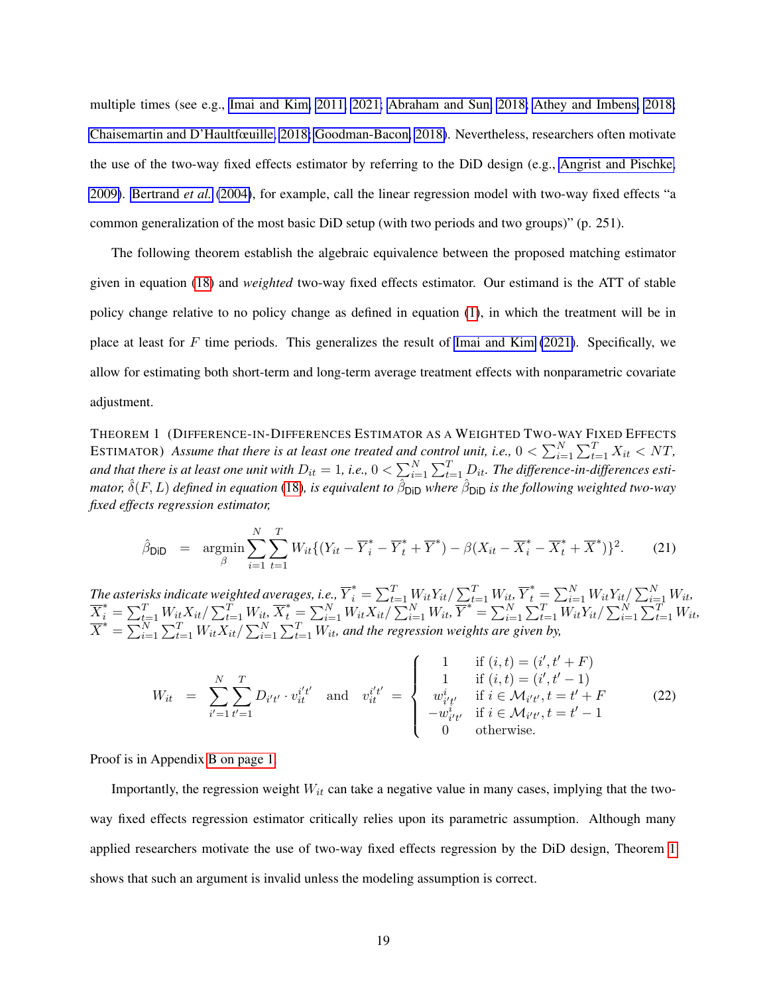multiple times (see e.g., [Imai and Kim, 2011,](#page-32-9) [2021;](#page-32-1) [Abraham and Sun, 2018;](#page-30-8) [Athey and Imbens, 2018;](#page-30-9) [Chaisemartin and D'Haultfœuille, 2018;](#page-31-9) [Goodman-Bacon, 2018\)](#page-31-10). Nevertheless, researchers often motivate the use of the two-way fixed effects estimator by referring to the DiD design (e.g., [Angrist and Pischke,](#page-30-0) [2009\)](#page-30-0). [Bertrand](#page-30-10) *et al.* [\(2004\)](#page-30-10), for example, call the linear regression model with two-way fixed effects "a common generalization of the most basic DiD setup (with two periods and two groups)" (p. 251).

The following theorem establish the algebraic equivalence between the proposed matching estimator given in equation [\(18\)](#page-17-1) and *weighted* two-way fixed effects estimator. Our estimand is the ATT of stable policy change relative to no policy change as defined in equation [\(1\)](#page-0-0), in which the treatment will be in place at least for  $F$  time periods. This generalizes the result of [Imai and Kim](#page-32-1) [\(2021\)](#page-32-1). Specifically, we allow for estimating both short-term and long-term average treatment effects with nonparametric covariate adjustment.

<span id="page-19-0"></span>THEOREM 1 (DIFFERENCE-IN-DIFFERENCES ESTIMATOR AS A WEIGHTED TWO-WAY FIXED EFFECTS ESTIMATOR) Assume that there is at least one treated and control unit, i.e.,  $0 < \sum_{i=1}^{N} \sum_{t=1}^{T} X_{it} < NT$ , and that there is at least one unit with  $D_{it}=1$ , i.e.,  $0<\sum_{i=1}^N\sum_{t=1}^T D_{it}.$  The difference-in-differences estimator,  $\hat{\delta}(F,L)$  defined in equation [\(18\)](#page-17-1), is equivalent to  $\hat{\beta}_{\sf DiD}$  where  $\hat{\beta}_{\sf DiD}$  is the following weighted two-way *fixed effects regression estimator,*

$$
\hat{\beta}_{\text{DiD}} = \underset{\beta}{\text{argmin}} \sum_{i=1}^{N} \sum_{t=1}^{T} W_{it} \{ (Y_{it} - \overline{Y}_{i}^{*} - \overline{Y}_{t}^{*} + \overline{Y}^{*}) - \beta (X_{it} - \overline{X}_{i}^{*} - \overline{X}_{t}^{*} + \overline{X}^{*}) \}^{2}.
$$
 (21)

The asterisks indicate weighted averages, i.e.,  $\overline{Y}^*_i = \sum_{t=1}^T W_{it} Y_{it}/\sum_{t=1}^T W_{it}, \overline{Y}^*_t = \sum_{i=1}^N W_{it} Y_{it}/\sum_{i=1}^N W_{it}$  $\overline{X}_i^* = \sum_{t=1}^T W_{it} X_{it} / \sum_{t=1}^T W_{it}, \overline{X}_t^* = \sum_{i=1}^N W_{it} X_{it} / \sum_{i=1}^N W_{it}, \overline{Y}^* = \sum_{i=1}^N \sum_{t=1}^T W_{it} Y_{it} / \sum_{i=1}^N \sum_{t=1}^T W_{it},$  $\overline{X}^* = \sum_{i=1}^{N} \sum_{t=1}^{T} W_{it} X_{it} / \sum_{i=1}^{N} \sum_{t=1}^{T} W_{it}$  and the regression weights are given by,

$$
W_{it} = \sum_{i'=1}^{N} \sum_{t'=1}^{T} D_{i't'} \cdot v_{it}^{i't'} \text{ and } v_{it}^{i't'} = \begin{cases} 1 & \text{if } (i,t) = (i', t' + F) \\ 1 & \text{if } (i,t) = (i', t' - 1) \\ w_{i't'}^{i} & \text{if } i \in \mathcal{M}_{i't'}, t = t' + F \\ -w_{i't'}^{i} & \text{if } i \in \mathcal{M}_{i't'}, t = t' - 1 \\ 0 & \text{otherwise.} \end{cases}
$$
(22)

Proof is in Appendix [B on page 1.](#page-0-0)

Importantly, the regression weight  $W_{it}$  can take a negative value in many cases, implying that the twoway fixed effects regression estimator critically relies upon its parametric assumption. Although many applied researchers motivate the use of two-way fixed effects regression by the DiD design, Theorem [1](#page-19-0) shows that such an argument is invalid unless the modeling assumption is correct.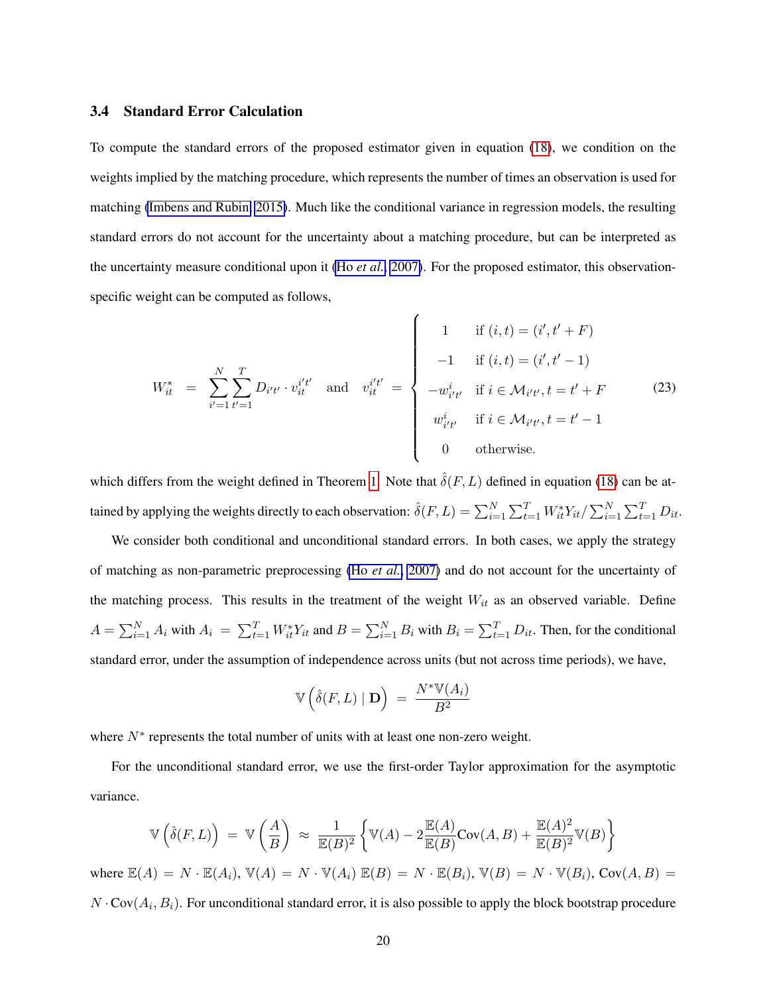#### 3.4 Standard Error Calculation

To compute the standard errors of the proposed estimator given in equation [\(18\)](#page-17-1), we condition on the weights implied by the matching procedure, which represents the number of times an observation is used for matching [\(Imbens and Rubin, 2015\)](#page-32-10). Much like the conditional variance in regression models, the resulting standard errors do not account for the uncertainty about a matching procedure, but can be interpreted as the uncertainty measure conditional upon it (Ho *[et al.](#page-31-0)*, [2007\)](#page-31-0). For the proposed estimator, this observationspecific weight can be computed as follows,

$$
W_{it}^{*} = \sum_{i'=1}^{N} \sum_{t'=1}^{T} D_{i't'} \cdot v_{it}^{i't'} \text{ and } v_{it}^{i't'} = \begin{cases} 1 & \text{if } (i,t) = (i', t' + F) \\ -1 & \text{if } (i,t) = (i', t' - 1) \\ -w_{i't'}^{i} & \text{if } i \in \mathcal{M}_{i't'}, t = t' + F \\ w_{i't'}^{i} & \text{if } i \in \mathcal{M}_{i't'}, t = t' - 1 \\ 0 & \text{otherwise.} \end{cases}
$$
(23)

which differs from the weight defined in Theorem [1.](#page-19-0) Note that  $\hat{\delta}(F, L)$  defined in equation [\(18\)](#page-17-1) can be attained by applying the weights directly to each observation:  $\hat{\delta}(F,L) = \sum_{i=1}^N \sum_{t=1}^T W_{it}^* Y_{it}/\sum_{i=1}^N \sum_{t=1}^T D_{it}.$ 

We consider both conditional and unconditional standard errors. In both cases, we apply the strategy of matching as non-parametric preprocessing (Ho *[et al.](#page-31-0)*, [2007\)](#page-31-0) and do not account for the uncertainty of the matching process. This results in the treatment of the weight  $W_{it}$  as an observed variable. Define  $A = \sum_{i=1}^{N} A_i$  with  $A_i = \sum_{t=1}^{T} W_{it}^* Y_{it}$  and  $B = \sum_{i=1}^{N} B_i$  with  $B_i = \sum_{t=1}^{T} D_{it}$ . Then, for the conditional standard error, under the assumption of independence across units (but not across time periods), we have,

$$
\mathbb{V}\left(\hat{\delta}(F,L) \mid \mathbf{D}\right) \ = \ \frac{N^* \mathbb{V}(A_i)}{B^2}
$$

where  $N^*$  represents the total number of units with at least one non-zero weight.

For the unconditional standard error, we use the first-order Taylor approximation for the asymptotic variance.

$$
\mathbb{V}\left(\hat{\delta}(F,L)\right) = \mathbb{V}\left(\frac{A}{B}\right) \approx \frac{1}{\mathbb{E}(B)^2} \left\{\mathbb{V}(A) - 2\frac{\mathbb{E}(A)}{\mathbb{E}(B)} \text{Cov}(A,B) + \frac{\mathbb{E}(A)^2}{\mathbb{E}(B)^2} \mathbb{V}(B)\right\}
$$
  
where  $\mathbb{E}(A) = N \cdot \mathbb{E}(A_i)$ ,  $\mathbb{V}(A) = N \cdot \mathbb{V}(A_i)$   $\mathbb{E}(B) = N \cdot \mathbb{E}(B_i)$ ,  $\mathbb{V}(B) = N \cdot \mathbb{V}(B_i)$ ,  $\text{Cov}(A, B) =$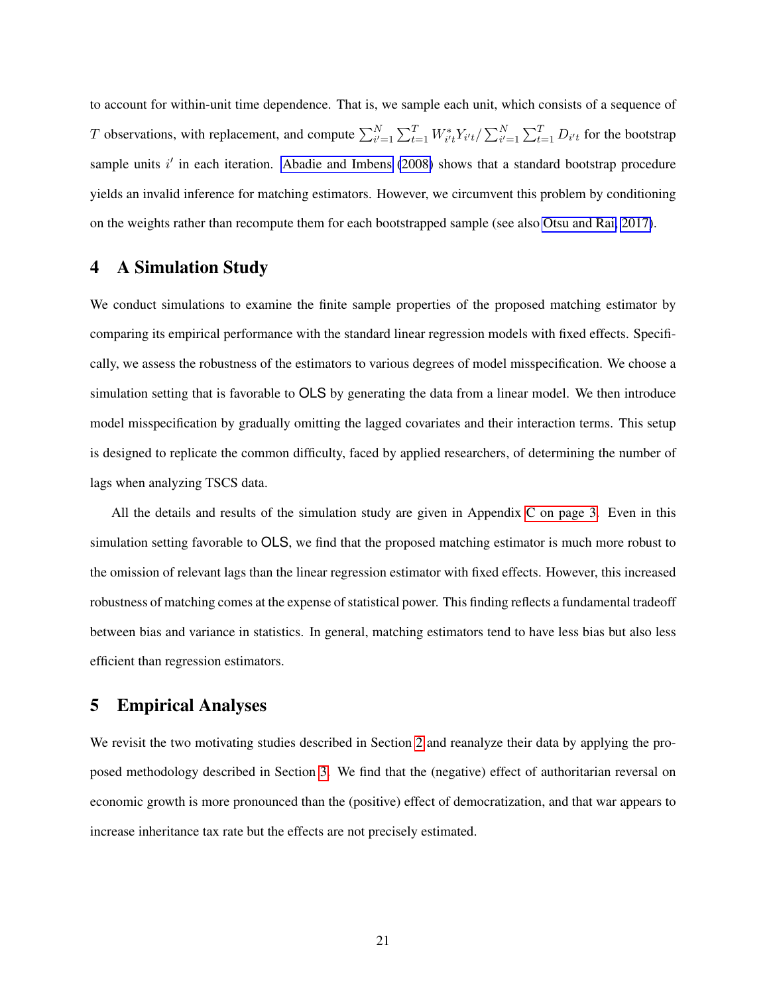to account for within-unit time dependence. That is, we sample each unit, which consists of a sequence of T observations, with replacement, and compute  $\sum_{i'=1}^N \sum_{t=1}^T W_{i't}^* Y_{i't} / \sum_{i'=1}^N \sum_{t=1}^T D_{i't}$  for the bootstrap sample units  $i'$  in each iteration. [Abadie and Imbens](#page-29-2) [\(2008\)](#page-29-2) shows that a standard bootstrap procedure yields an invalid inference for matching estimators. However, we circumvent this problem by conditioning on the weights rather than recompute them for each bootstrapped sample (see also [Otsu and Rai, 2017\)](#page-32-11).

# <span id="page-21-0"></span>4 A Simulation Study

We conduct simulations to examine the finite sample properties of the proposed matching estimator by comparing its empirical performance with the standard linear regression models with fixed effects. Specifically, we assess the robustness of the estimators to various degrees of model misspecification. We choose a simulation setting that is favorable to OLS by generating the data from a linear model. We then introduce model misspecification by gradually omitting the lagged covariates and their interaction terms. This setup is designed to replicate the common difficulty, faced by applied researchers, of determining the number of lags when analyzing TSCS data.

All the details and results of the simulation study are given in Appendix [C on page 3.](#page-0-0) Even in this simulation setting favorable to OLS, we find that the proposed matching estimator is much more robust to the omission of relevant lags than the linear regression estimator with fixed effects. However, this increased robustness of matching comes at the expense of statistical power. This finding reflects a fundamental tradeoff between bias and variance in statistics. In general, matching estimators tend to have less bias but also less efficient than regression estimators.

# <span id="page-21-1"></span>5 Empirical Analyses

We revisit the two motivating studies described in Section [2](#page-3-0) and reanalyze their data by applying the proposed methodology described in Section [3.](#page-9-0) We find that the (negative) effect of authoritarian reversal on economic growth is more pronounced than the (positive) effect of democratization, and that war appears to increase inheritance tax rate but the effects are not precisely estimated.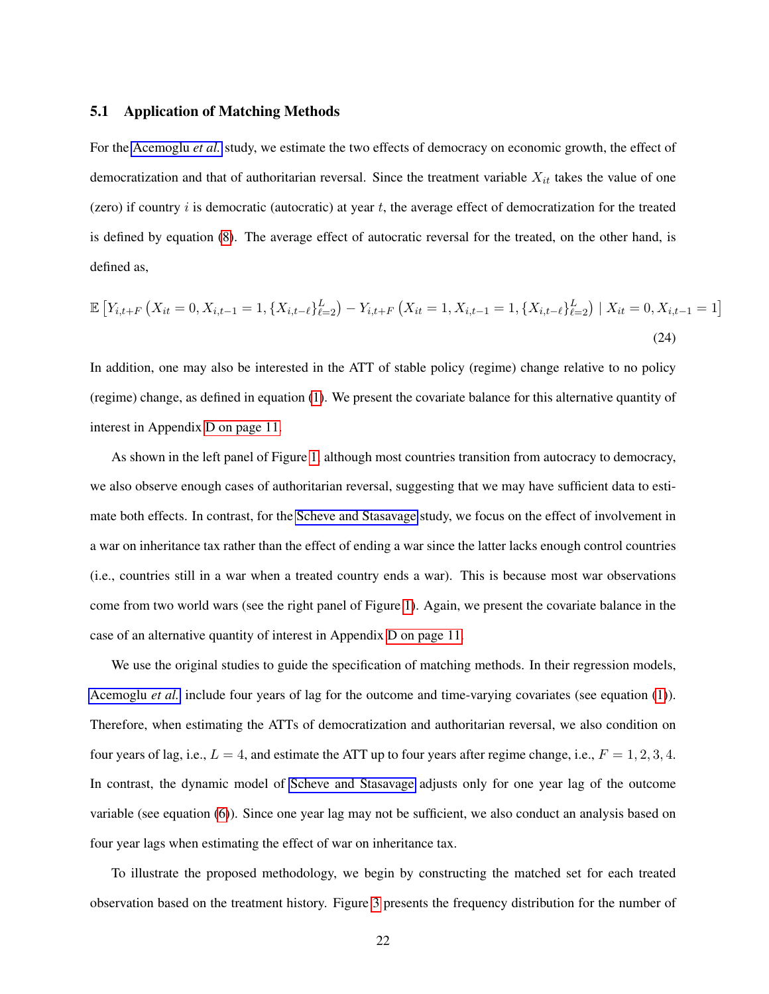#### 5.1 Application of Matching Methods

For the [Acemoglu](#page-30-4) *et al.* study, we estimate the two effects of democracy on economic growth, the effect of democratization and that of authoritarian reversal. Since the treatment variable  $X_{it}$  takes the value of one (zero) if country  $i$  is democratic (autocratic) at year  $t$ , the average effect of democratization for the treated is defined by equation [\(8\)](#page-11-1). The average effect of autocratic reversal for the treated, on the other hand, is defined as,

$$
\mathbb{E}\left[Y_{i,t+F}\left(X_{it}=0,X_{i,t-1}=1,\{X_{i,t-\ell}\}_{\ell=2}^{L}\right)-Y_{i,t+F}\left(X_{it}=1,X_{i,t-1}=1,\{X_{i,t-\ell}\}_{\ell=2}^{L}\right) \mid X_{it}=0,X_{i,t-1}=1\right]
$$
\n(24)

In addition, one may also be interested in the ATT of stable policy (regime) change relative to no policy (regime) change, as defined in equation [\(1\)](#page-0-0). We present the covariate balance for this alternative quantity of interest in Appendix [D on page 11.](#page-0-0)

As shown in the left panel of Figure [1,](#page-8-0) although most countries transition from autocracy to democracy, we also observe enough cases of authoritarian reversal, suggesting that we may have sufficient data to estimate both effects. In contrast, for the [Scheve and Stasavage](#page-33-6) study, we focus on the effect of involvement in a war on inheritance tax rather than the effect of ending a war since the latter lacks enough control countries (i.e., countries still in a war when a treated country ends a war). This is because most war observations come from two world wars (see the right panel of Figure [1\)](#page-8-0). Again, we present the covariate balance in the case of an alternative quantity of interest in Appendix [D on page 11.](#page-0-0)

We use the original studies to guide the specification of matching methods. In their regression models, [Acemoglu](#page-30-4) *et al.* include four years of lag for the outcome and time-varying covariates (see equation [\(1\)](#page-4-1)). Therefore, when estimating the ATTs of democratization and authoritarian reversal, we also condition on four years of lag, i.e.,  $L = 4$ , and estimate the ATT up to four years after regime change, i.e.,  $F = 1, 2, 3, 4$ . In contrast, the dynamic model of [Scheve and Stasavage](#page-33-6) adjusts only for one year lag of the outcome variable (see equation [\(6\)](#page-7-0)). Since one year lag may not be sufficient, we also conduct an analysis based on four year lags when estimating the effect of war on inheritance tax.

To illustrate the proposed methodology, we begin by constructing the matched set for each treated observation based on the treatment history. Figure [3](#page-23-0) presents the frequency distribution for the number of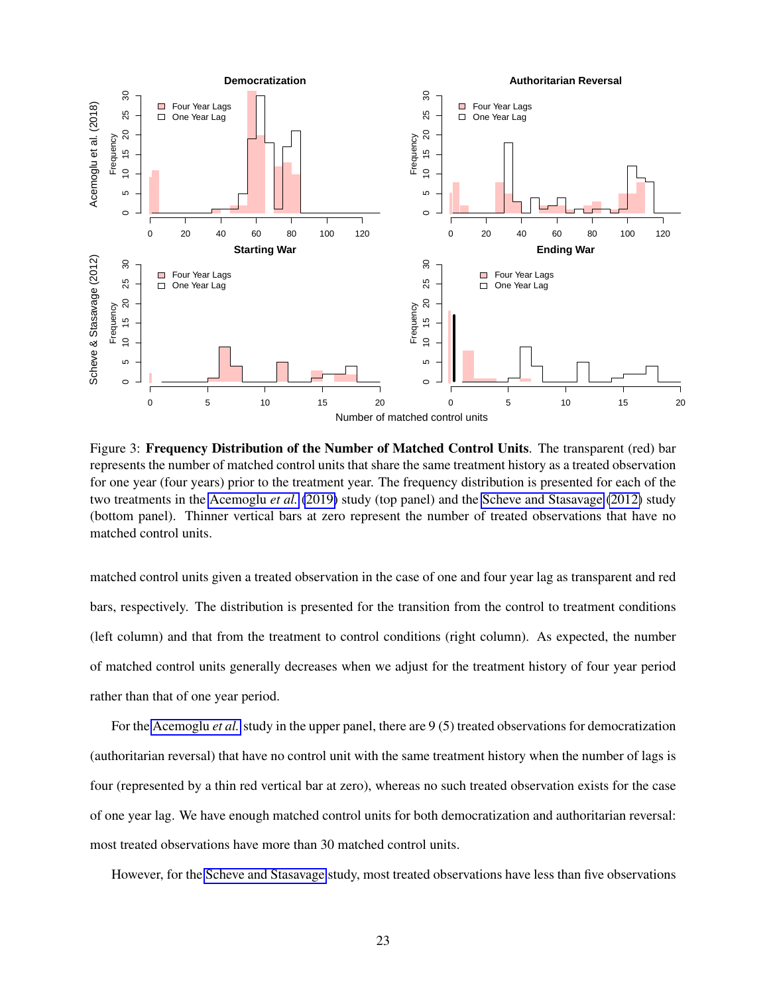<span id="page-23-0"></span>

Figure 3: Frequency Distribution of the Number of Matched Control Units. The transparent (red) bar represents the number of matched control units that share the same treatment history as a treated observation for one year (four years) prior to the treatment year. The frequency distribution is presented for each of the two treatments in the [Acemoglu](#page-30-4) *et al.* [\(2019\)](#page-30-4) study (top panel) and the [Scheve and Stasavage](#page-33-6) [\(2012\)](#page-33-6) study (bottom panel). Thinner vertical bars at zero represent the number of treated observations that have no matched control units.

matched control units given a treated observation in the case of one and four year lag as transparent and red bars, respectively. The distribution is presented for the transition from the control to treatment conditions (left column) and that from the treatment to control conditions (right column). As expected, the number of matched control units generally decreases when we adjust for the treatment history of four year period rather than that of one year period.

For the [Acemoglu](#page-30-4) *et al.* study in the upper panel, there are 9 (5) treated observations for democratization (authoritarian reversal) that have no control unit with the same treatment history when the number of lags is four (represented by a thin red vertical bar at zero), whereas no such treated observation exists for the case of one year lag. We have enough matched control units for both democratization and authoritarian reversal: most treated observations have more than 30 matched control units.

However, for the [Scheve and Stasavage](#page-33-6) study, most treated observations have less than five observations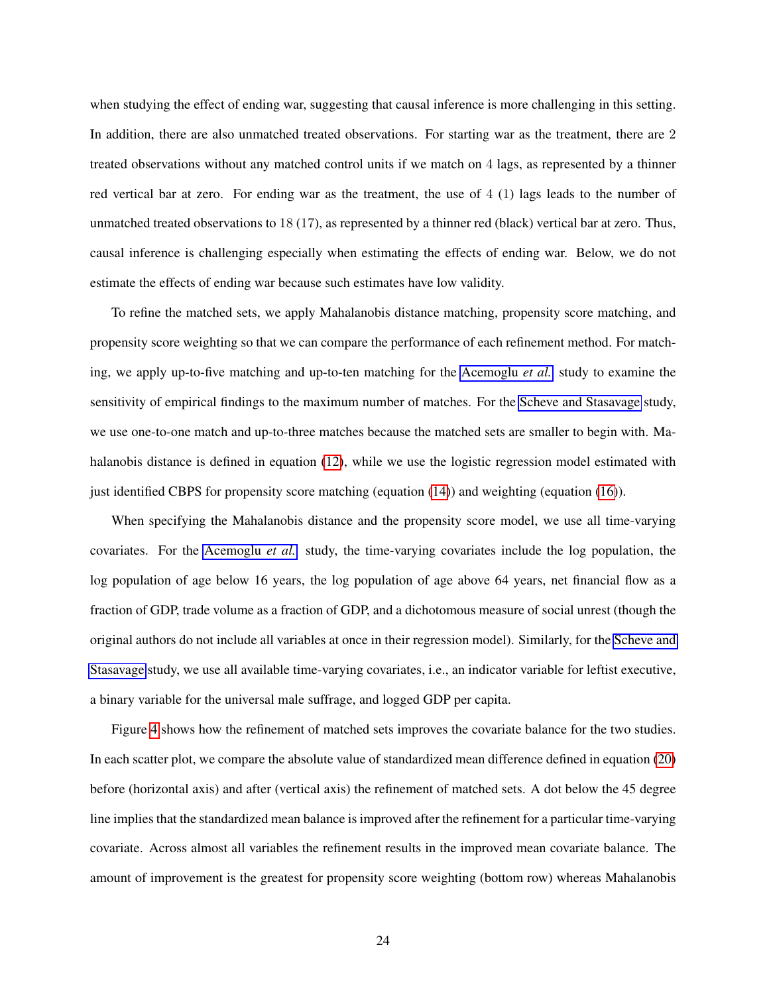when studying the effect of ending war, suggesting that causal inference is more challenging in this setting. In addition, there are also unmatched treated observations. For starting war as the treatment, there are 2 treated observations without any matched control units if we match on 4 lags, as represented by a thinner red vertical bar at zero. For ending war as the treatment, the use of 4 (1) lags leads to the number of unmatched treated observations to 18 (17), as represented by a thinner red (black) vertical bar at zero. Thus, causal inference is challenging especially when estimating the effects of ending war. Below, we do not estimate the effects of ending war because such estimates have low validity.

To refine the matched sets, we apply Mahalanobis distance matching, propensity score matching, and propensity score weighting so that we can compare the performance of each refinement method. For matching, we apply up-to-five matching and up-to-ten matching for the [Acemoglu](#page-30-4) *et al.* study to examine the sensitivity of empirical findings to the maximum number of matches. For the [Scheve and Stasavage](#page-33-6) study, we use one-to-one match and up-to-three matches because the matched sets are smaller to begin with. Mahalanobis distance is defined in equation [\(12\)](#page-15-3), while we use the logistic regression model estimated with just identified CBPS for propensity score matching (equation [\(14\)](#page-16-1)) and weighting (equation [\(16\)](#page-16-2)).

When specifying the Mahalanobis distance and the propensity score model, we use all time-varying covariates. For the [Acemoglu](#page-30-4) *et al.* study, the time-varying covariates include the log population, the log population of age below 16 years, the log population of age above 64 years, net financial flow as a fraction of GDP, trade volume as a fraction of GDP, and a dichotomous measure of social unrest (though the original authors do not include all variables at once in their regression model). Similarly, for the [Scheve and](#page-33-6) [Stasavage](#page-33-6) study, we use all available time-varying covariates, i.e., an indicator variable for leftist executive, a binary variable for the universal male suffrage, and logged GDP per capita.

Figure [4](#page-25-0) shows how the refinement of matched sets improves the covariate balance for the two studies. In each scatter plot, we compare the absolute value of standardized mean difference defined in equation [\(20\)](#page-18-0) before (horizontal axis) and after (vertical axis) the refinement of matched sets. A dot below the 45 degree line implies that the standardized mean balance is improved after the refinement for a particular time-varying covariate. Across almost all variables the refinement results in the improved mean covariate balance. The amount of improvement is the greatest for propensity score weighting (bottom row) whereas Mahalanobis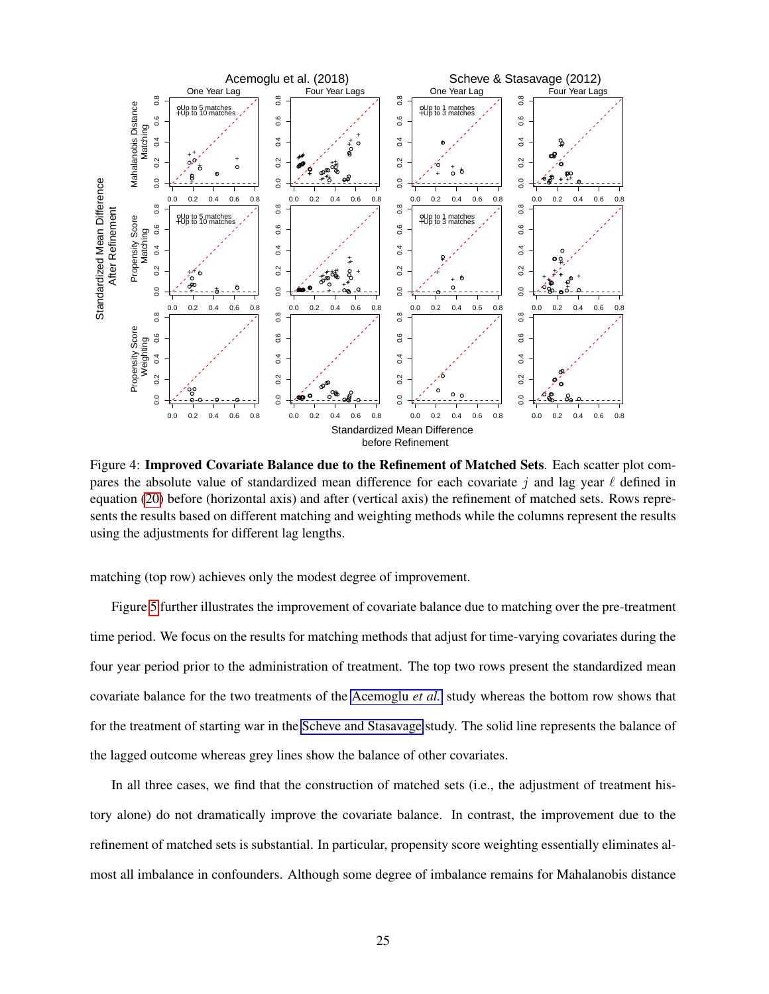<span id="page-25-0"></span>

Figure 4: Improved Covariate Balance due to the Refinement of Matched Sets. Each scatter plot compares the absolute value of standardized mean difference for each covariate j and lag year  $\ell$  defined in equation [\(20\)](#page-18-0) before (horizontal axis) and after (vertical axis) the refinement of matched sets. Rows represents the results based on different matching and weighting methods while the columns represent the results using the adjustments for different lag lengths.

matching (top row) achieves only the modest degree of improvement.

Figure [5](#page-26-0) further illustrates the improvement of covariate balance due to matching over the pre-treatment time period. We focus on the results for matching methods that adjust for time-varying covariates during the four year period prior to the administration of treatment. The top two rows present the standardized mean covariate balance for the two treatments of the [Acemoglu](#page-30-4) *et al.* study whereas the bottom row shows that for the treatment of starting war in the [Scheve and Stasavage](#page-33-6) study. The solid line represents the balance of the lagged outcome whereas grey lines show the balance of other covariates.

In all three cases, we find that the construction of matched sets (i.e., the adjustment of treatment history alone) do not dramatically improve the covariate balance. In contrast, the improvement due to the refinement of matched sets is substantial. In particular, propensity score weighting essentially eliminates almost all imbalance in confounders. Although some degree of imbalance remains for Mahalanobis distance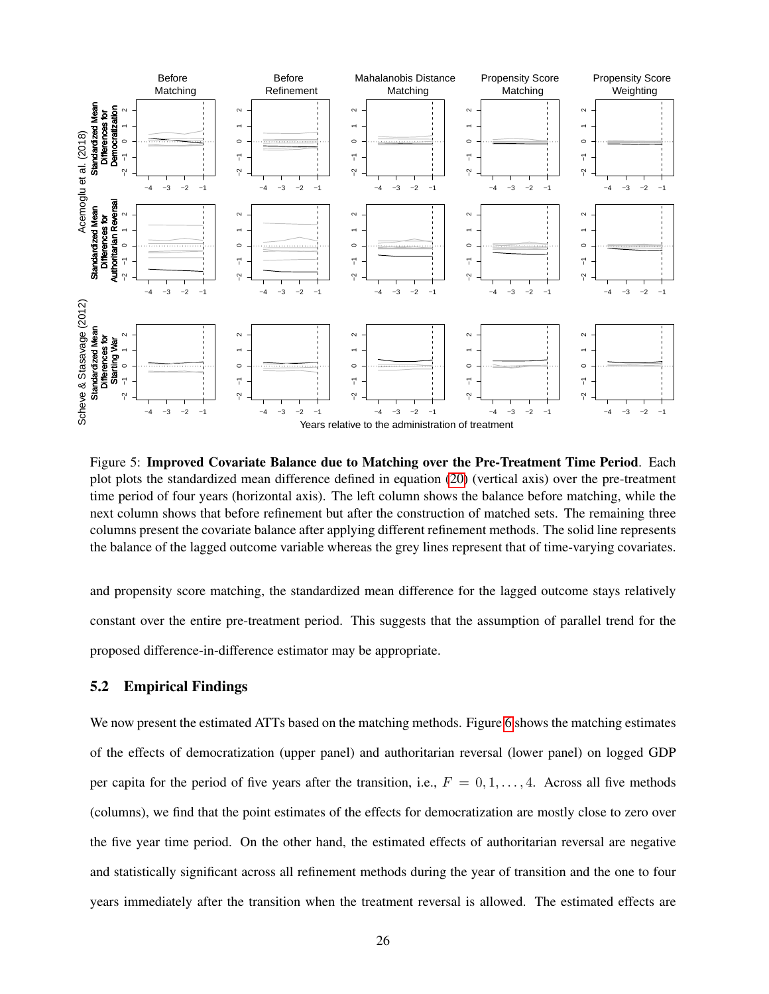<span id="page-26-0"></span>

Figure 5: Improved Covariate Balance due to Matching over the Pre-Treatment Time Period. Each plot plots the standardized mean difference defined in equation [\(20\)](#page-18-0) (vertical axis) over the pre-treatment time period of four years (horizontal axis). The left column shows the balance before matching, while the next column shows that before refinement but after the construction of matched sets. The remaining three columns present the covariate balance after applying different refinement methods. The solid line represents the balance of the lagged outcome variable whereas the grey lines represent that of time-varying covariates.

and propensity score matching, the standardized mean difference for the lagged outcome stays relatively constant over the entire pre-treatment period. This suggests that the assumption of parallel trend for the proposed difference-in-difference estimator may be appropriate.

### 5.2 Empirical Findings

We now present the estimated ATTs based on the matching methods. Figure [6](#page-27-0) shows the matching estimates of the effects of democratization (upper panel) and authoritarian reversal (lower panel) on logged GDP per capita for the period of five years after the transition, i.e.,  $F = 0, 1, \ldots, 4$ . Across all five methods (columns), we find that the point estimates of the effects for democratization are mostly close to zero over the five year time period. On the other hand, the estimated effects of authoritarian reversal are negative and statistically significant across all refinement methods during the year of transition and the one to four years immediately after the transition when the treatment reversal is allowed. The estimated effects are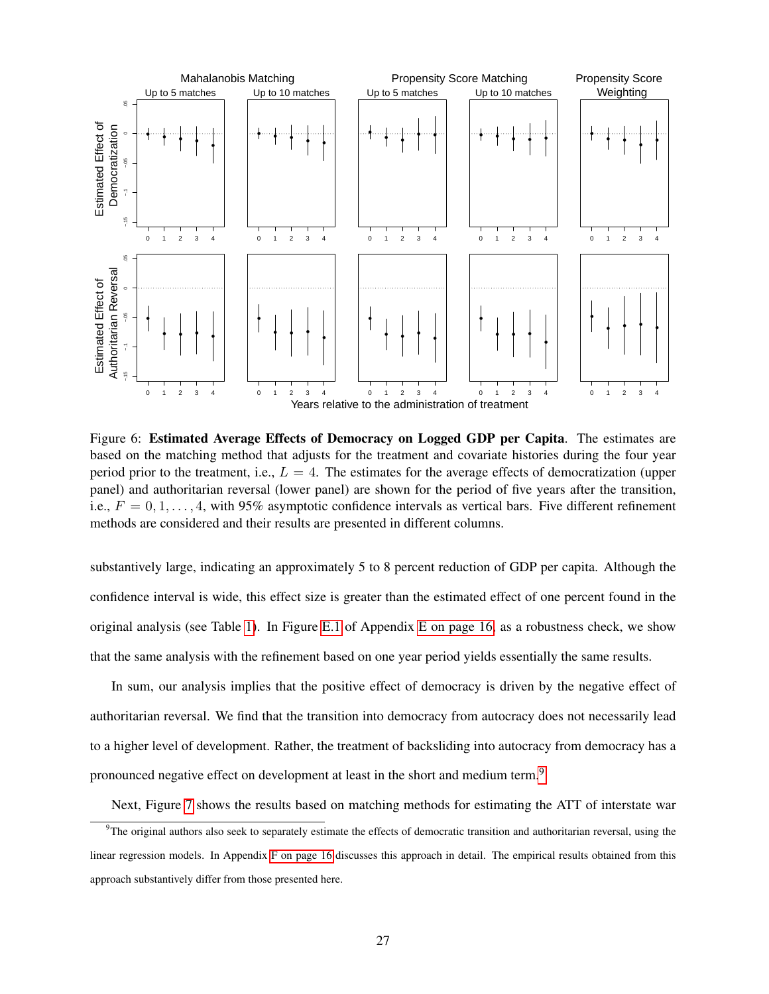<span id="page-27-0"></span>

Figure 6: Estimated Average Effects of Democracy on Logged GDP per Capita. The estimates are based on the matching method that adjusts for the treatment and covariate histories during the four year period prior to the treatment, i.e.,  $L = 4$ . The estimates for the average effects of democratization (upper panel) and authoritarian reversal (lower panel) are shown for the period of five years after the transition, i.e.,  $F = 0, 1, \ldots, 4$ , with 95% asymptotic confidence intervals as vertical bars. Five different refinement methods are considered and their results are presented in different columns.

substantively large, indicating an approximately 5 to 8 percent reduction of GDP per capita. Although the confidence interval is wide, this effect size is greater than the estimated effect of one percent found in the original analysis (see Table [1\)](#page-5-0). In Figure [E.1](#page-0-0) of Appendix [E on page 16,](#page-0-0) as a robustness check, we show that the same analysis with the refinement based on one year period yields essentially the same results.

In sum, our analysis implies that the positive effect of democracy is driven by the negative effect of authoritarian reversal. We find that the transition into democracy from autocracy does not necessarily lead to a higher level of development. Rather, the treatment of backsliding into autocracy from democracy has a pronounced negative effect on development at least in the short and medium term.<sup>[9](#page-27-1)</sup>

<span id="page-27-1"></span>Next, Figure [7](#page-28-0) shows the results based on matching methods for estimating the ATT of interstate war

 $9$ The original authors also seek to separately estimate the effects of democratic transition and authoritarian reversal, using the linear regression models. In Appendix [F on page 16](#page-0-0) discusses this approach in detail. The empirical results obtained from this approach substantively differ from those presented here.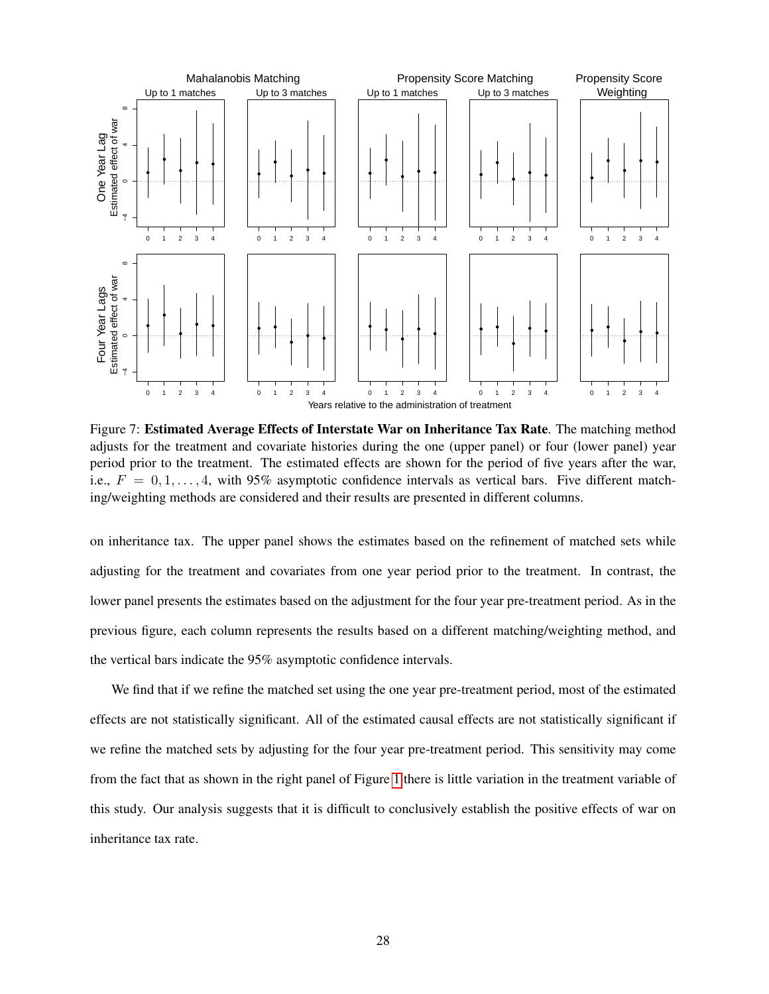<span id="page-28-0"></span>

Figure 7: Estimated Average Effects of Interstate War on Inheritance Tax Rate. The matching method adjusts for the treatment and covariate histories during the one (upper panel) or four (lower panel) year period prior to the treatment. The estimated effects are shown for the period of five years after the war, i.e.,  $F = 0, 1, \ldots, 4$ , with 95% asymptotic confidence intervals as vertical bars. Five different matching/weighting methods are considered and their results are presented in different columns.

on inheritance tax. The upper panel shows the estimates based on the refinement of matched sets while adjusting for the treatment and covariates from one year period prior to the treatment. In contrast, the lower panel presents the estimates based on the adjustment for the four year pre-treatment period. As in the previous figure, each column represents the results based on a different matching/weighting method, and the vertical bars indicate the 95% asymptotic confidence intervals.

We find that if we refine the matched set using the one year pre-treatment period, most of the estimated effects are not statistically significant. All of the estimated causal effects are not statistically significant if we refine the matched sets by adjusting for the four year pre-treatment period. This sensitivity may come from the fact that as shown in the right panel of Figure [1](#page-8-0) there is little variation in the treatment variable of this study. Our analysis suggests that it is difficult to conclusively establish the positive effects of war on inheritance tax rate.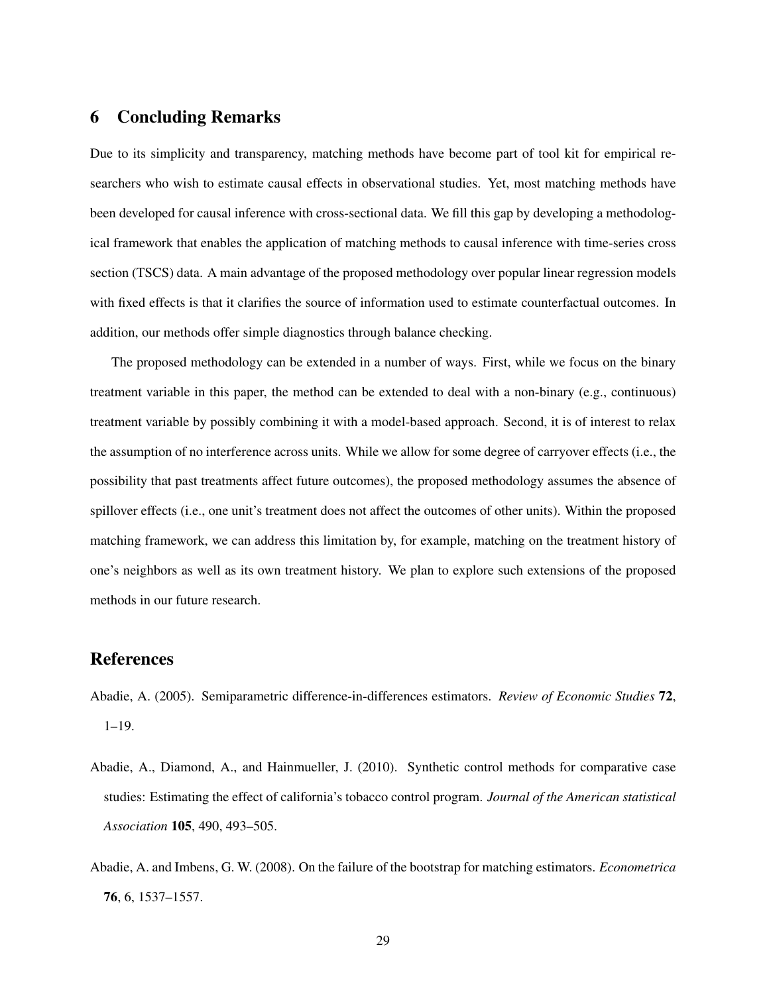### 6 Concluding Remarks

Due to its simplicity and transparency, matching methods have become part of tool kit for empirical researchers who wish to estimate causal effects in observational studies. Yet, most matching methods have been developed for causal inference with cross-sectional data. We fill this gap by developing a methodological framework that enables the application of matching methods to causal inference with time-series cross section (TSCS) data. A main advantage of the proposed methodology over popular linear regression models with fixed effects is that it clarifies the source of information used to estimate counterfactual outcomes. In addition, our methods offer simple diagnostics through balance checking.

The proposed methodology can be extended in a number of ways. First, while we focus on the binary treatment variable in this paper, the method can be extended to deal with a non-binary (e.g., continuous) treatment variable by possibly combining it with a model-based approach. Second, it is of interest to relax the assumption of no interference across units. While we allow for some degree of carryover effects (i.e., the possibility that past treatments affect future outcomes), the proposed methodology assumes the absence of spillover effects (i.e., one unit's treatment does not affect the outcomes of other units). Within the proposed matching framework, we can address this limitation by, for example, matching on the treatment history of one's neighbors as well as its own treatment history. We plan to explore such extensions of the proposed methods in our future research.

## References

- <span id="page-29-1"></span>Abadie, A. (2005). Semiparametric difference-in-differences estimators. *Review of Economic Studies* 72, 1–19.
- <span id="page-29-0"></span>Abadie, A., Diamond, A., and Hainmueller, J. (2010). Synthetic control methods for comparative case studies: Estimating the effect of california's tobacco control program. *Journal of the American statistical Association* 105, 490, 493–505.
- <span id="page-29-2"></span>Abadie, A. and Imbens, G. W. (2008). On the failure of the bootstrap for matching estimators. *Econometrica* 76, 6, 1537–1557.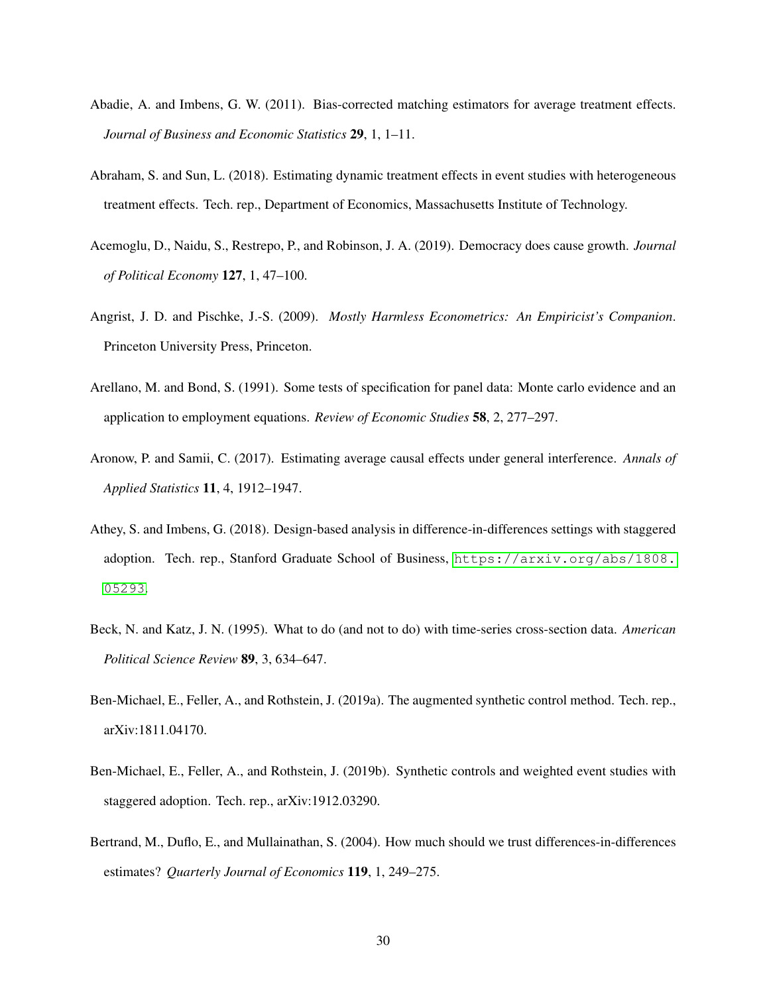- <span id="page-30-1"></span>Abadie, A. and Imbens, G. W. (2011). Bias-corrected matching estimators for average treatment effects. *Journal of Business and Economic Statistics* 29, 1, 1–11.
- <span id="page-30-8"></span>Abraham, S. and Sun, L. (2018). Estimating dynamic treatment effects in event studies with heterogeneous treatment effects. Tech. rep., Department of Economics, Massachusetts Institute of Technology.
- <span id="page-30-4"></span>Acemoglu, D., Naidu, S., Restrepo, P., and Robinson, J. A. (2019). Democracy does cause growth. *Journal of Political Economy* 127, 1, 47–100.
- <span id="page-30-0"></span>Angrist, J. D. and Pischke, J.-S. (2009). *Mostly Harmless Econometrics: An Empiricist's Companion*. Princeton University Press, Princeton.
- <span id="page-30-5"></span>Arellano, M. and Bond, S. (1991). Some tests of specification for panel data: Monte carlo evidence and an application to employment equations. *Review of Economic Studies* 58, 2, 277–297.
- <span id="page-30-7"></span>Aronow, P. and Samii, C. (2017). Estimating average causal effects under general interference. *Annals of Applied Statistics* 11, 4, 1912–1947.
- <span id="page-30-9"></span>Athey, S. and Imbens, G. (2018). Design-based analysis in difference-in-differences settings with staggered adoption. Tech. rep., Stanford Graduate School of Business, [https://arxiv.org/abs/1808.](https://arxiv.org/abs/1808.05293) [05293](https://arxiv.org/abs/1808.05293).
- <span id="page-30-6"></span>Beck, N. and Katz, J. N. (1995). What to do (and not to do) with time-series cross-section data. *American Political Science Review* 89, 3, 634–647.
- <span id="page-30-2"></span>Ben-Michael, E., Feller, A., and Rothstein, J. (2019a). The augmented synthetic control method. Tech. rep., arXiv:1811.04170.
- <span id="page-30-3"></span>Ben-Michael, E., Feller, A., and Rothstein, J. (2019b). Synthetic controls and weighted event studies with staggered adoption. Tech. rep., arXiv:1912.03290.
- <span id="page-30-10"></span>Bertrand, M., Duflo, E., and Mullainathan, S. (2004). How much should we trust differences-in-differences estimates? *Quarterly Journal of Economics* 119, 1, 249–275.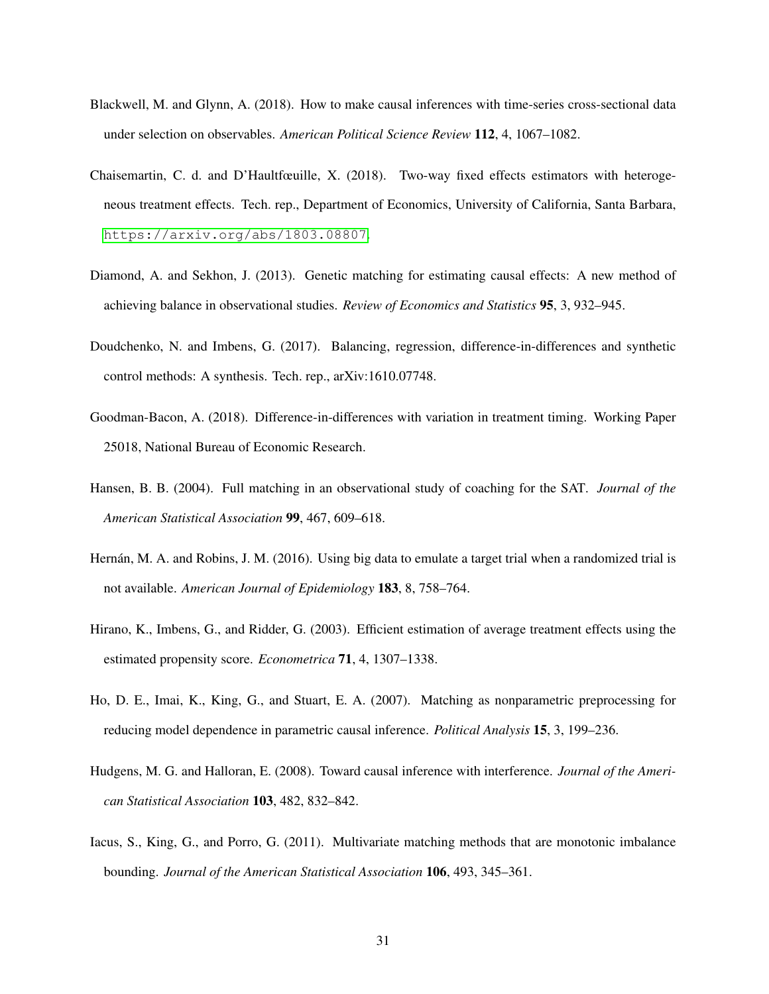- <span id="page-31-6"></span>Blackwell, M. and Glynn, A. (2018). How to make causal inferences with time-series cross-sectional data under selection on observables. *American Political Science Review* 112, 4, 1067–1082.
- <span id="page-31-9"></span>Chaisemartin, C. d. and D'Haultfœuille, X. (2018). Two-way fixed effects estimators with heterogeneous treatment effects. Tech. rep., Department of Economics, University of California, Santa Barbara, <https://arxiv.org/abs/1803.08807>.
- <span id="page-31-3"></span>Diamond, A. and Sekhon, J. (2013). Genetic matching for estimating causal effects: A new method of achieving balance in observational studies. *Review of Economics and Statistics* 95, 3, 932–945.
- <span id="page-31-4"></span>Doudchenko, N. and Imbens, G. (2017). Balancing, regression, difference-in-differences and synthetic control methods: A synthesis. Tech. rep., arXiv:1610.07748.
- <span id="page-31-10"></span>Goodman-Bacon, A. (2018). Difference-in-differences with variation in treatment timing. Working Paper 25018, National Bureau of Economic Research.
- <span id="page-31-1"></span>Hansen, B. B. (2004). Full matching in an observational study of coaching for the SAT. *Journal of the American Statistical Association* 99, 467, 609–618.
- <span id="page-31-5"></span>Hernán, M. A. and Robins, J. M. (2016). Using big data to emulate a target trial when a randomized trial is not available. *American Journal of Epidemiology* 183, 8, 758–764.
- <span id="page-31-8"></span>Hirano, K., Imbens, G., and Ridder, G. (2003). Efficient estimation of average treatment effects using the estimated propensity score. *Econometrica* 71, 4, 1307–1338.
- <span id="page-31-0"></span>Ho, D. E., Imai, K., King, G., and Stuart, E. A. (2007). Matching as nonparametric preprocessing for reducing model dependence in parametric causal inference. *Political Analysis* 15, 3, 199–236.
- <span id="page-31-7"></span>Hudgens, M. G. and Halloran, E. (2008). Toward causal inference with interference. *Journal of the American Statistical Association* 103, 482, 832–842.
- <span id="page-31-2"></span>Iacus, S., King, G., and Porro, G. (2011). Multivariate matching methods that are monotonic imbalance bounding. *Journal of the American Statistical Association* 106, 493, 345–361.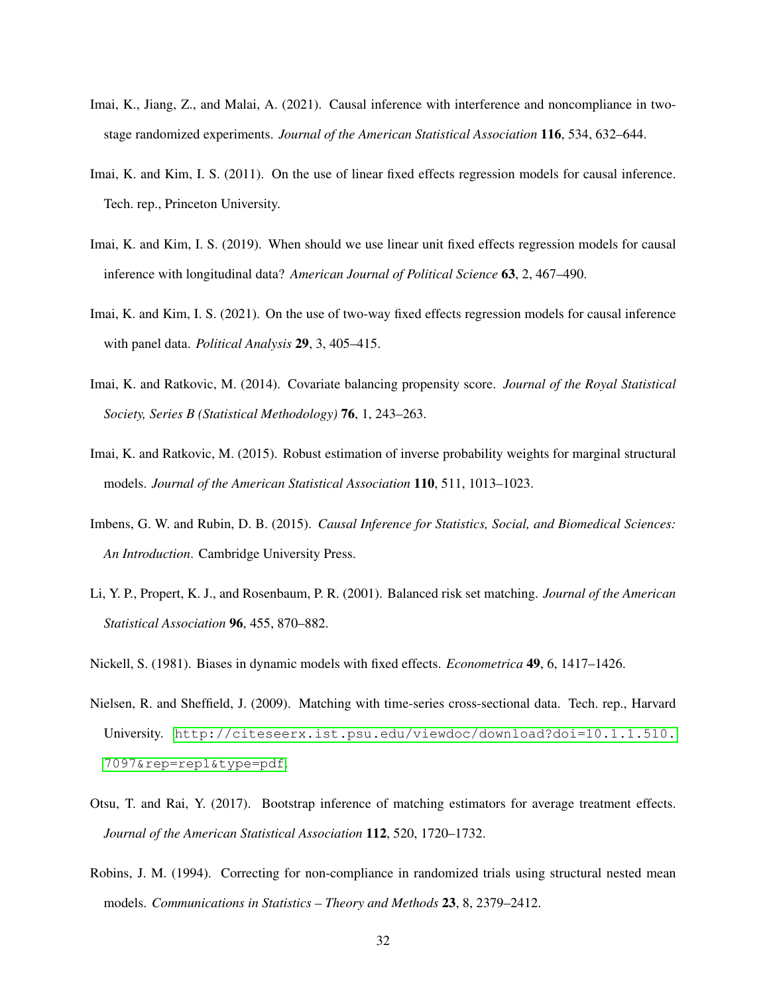- <span id="page-32-6"></span>Imai, K., Jiang, Z., and Malai, A. (2021). Causal inference with interference and noncompliance in twostage randomized experiments. *Journal of the American Statistical Association* 116, 534, 632–644.
- <span id="page-32-9"></span>Imai, K. and Kim, I. S. (2011). On the use of linear fixed effects regression models for causal inference. Tech. rep., Princeton University.
- <span id="page-32-0"></span>Imai, K. and Kim, I. S. (2019). When should we use linear unit fixed effects regression models for causal inference with longitudinal data? *American Journal of Political Science* 63, 2, 467–490.
- <span id="page-32-1"></span>Imai, K. and Kim, I. S. (2021). On the use of two-way fixed effects regression models for causal inference with panel data. *Political Analysis* 29, 3, 405–415.
- <span id="page-32-8"></span>Imai, K. and Ratkovic, M. (2014). Covariate balancing propensity score. *Journal of the Royal Statistical Society, Series B (Statistical Methodology)* 76, 1, 243–263.
- <span id="page-32-4"></span>Imai, K. and Ratkovic, M. (2015). Robust estimation of inverse probability weights for marginal structural models. *Journal of the American Statistical Association* 110, 511, 1013–1023.
- <span id="page-32-10"></span>Imbens, G. W. and Rubin, D. B. (2015). *Causal Inference for Statistics, Social, and Biomedical Sciences: An Introduction*. Cambridge University Press.
- <span id="page-32-7"></span>Li, Y. P., Propert, K. J., and Rosenbaum, P. R. (2001). Balanced risk set matching. *Journal of the American Statistical Association* 96, 455, 870–882.
- <span id="page-32-5"></span>Nickell, S. (1981). Biases in dynamic models with fixed effects. *Econometrica* 49, 6, 1417–1426.
- <span id="page-32-2"></span>Nielsen, R. and Sheffield, J. (2009). Matching with time-series cross-sectional data. Tech. rep., Harvard University. [http://citeseerx.ist.psu.edu/viewdoc/download?doi=10.1.1.510.](http://citeseerx.ist.psu.edu/viewdoc/download?doi=10.1.1.510.7097&rep=rep1&type=pdf) [7097&rep=rep1&type=pdf](http://citeseerx.ist.psu.edu/viewdoc/download?doi=10.1.1.510.7097&rep=rep1&type=pdf).
- <span id="page-32-11"></span>Otsu, T. and Rai, Y. (2017). Bootstrap inference of matching estimators for average treatment effects. *Journal of the American Statistical Association* 112, 520, 1720–1732.
- <span id="page-32-3"></span>Robins, J. M. (1994). Correcting for non-compliance in randomized trials using structural nested mean models. *Communications in Statistics – Theory and Methods* 23, 8, 2379–2412.